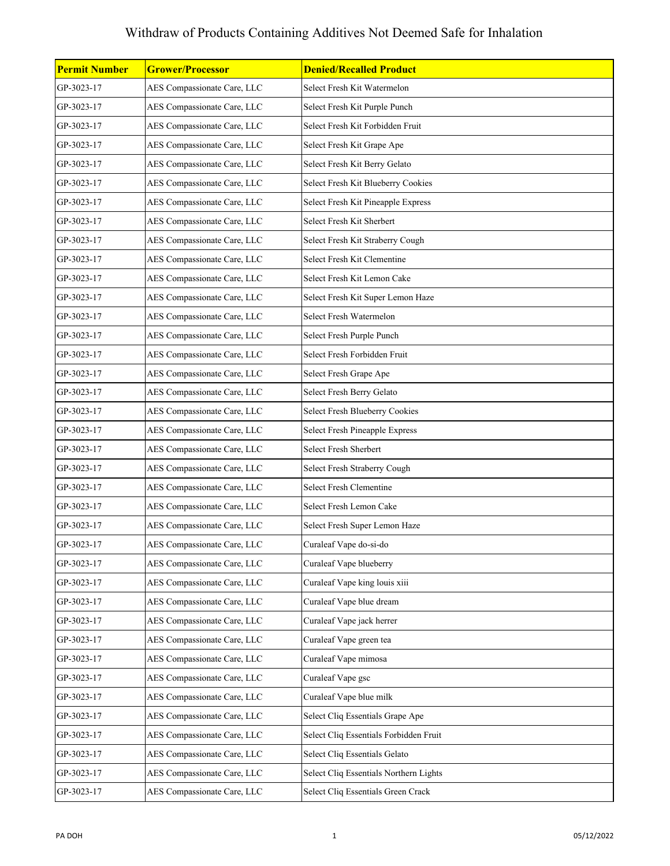| <b>Permit Number</b> | <b>Grower/Processor</b>     | <b>Denied/Recalled Product</b>         |
|----------------------|-----------------------------|----------------------------------------|
| GP-3023-17           | AES Compassionate Care, LLC | Select Fresh Kit Watermelon            |
| GP-3023-17           | AES Compassionate Care, LLC | Select Fresh Kit Purple Punch          |
| GP-3023-17           | AES Compassionate Care, LLC | Select Fresh Kit Forbidden Fruit       |
| GP-3023-17           | AES Compassionate Care, LLC | Select Fresh Kit Grape Ape             |
| GP-3023-17           | AES Compassionate Care, LLC | Select Fresh Kit Berry Gelato          |
| GP-3023-17           | AES Compassionate Care, LLC | Select Fresh Kit Blueberry Cookies     |
| GP-3023-17           | AES Compassionate Care, LLC | Select Fresh Kit Pineapple Express     |
| GP-3023-17           | AES Compassionate Care, LLC | Select Fresh Kit Sherbert              |
| GP-3023-17           | AES Compassionate Care, LLC | Select Fresh Kit Straberry Cough       |
| GP-3023-17           | AES Compassionate Care, LLC | Select Fresh Kit Clementine            |
| GP-3023-17           | AES Compassionate Care, LLC | Select Fresh Kit Lemon Cake            |
| GP-3023-17           | AES Compassionate Care, LLC | Select Fresh Kit Super Lemon Haze      |
| GP-3023-17           | AES Compassionate Care, LLC | Select Fresh Watermelon                |
| GP-3023-17           | AES Compassionate Care, LLC | Select Fresh Purple Punch              |
| GP-3023-17           | AES Compassionate Care, LLC | Select Fresh Forbidden Fruit           |
| GP-3023-17           | AES Compassionate Care, LLC | Select Fresh Grape Ape                 |
| GP-3023-17           | AES Compassionate Care, LLC | Select Fresh Berry Gelato              |
| GP-3023-17           | AES Compassionate Care, LLC | Select Fresh Blueberry Cookies         |
| GP-3023-17           | AES Compassionate Care, LLC | <b>Select Fresh Pineapple Express</b>  |
| GP-3023-17           | AES Compassionate Care, LLC | Select Fresh Sherbert                  |
| GP-3023-17           | AES Compassionate Care, LLC | Select Fresh Straberry Cough           |
| GP-3023-17           | AES Compassionate Care, LLC | Select Fresh Clementine                |
| GP-3023-17           | AES Compassionate Care, LLC | Select Fresh Lemon Cake                |
| GP-3023-17           | AES Compassionate Care, LLC | Select Fresh Super Lemon Haze          |
| GP-3023-17           | AES Compassionate Care, LLC | Curaleaf Vape do-si-do                 |
| GP-3023-17           | AES Compassionate Care, LLC | Curaleaf Vape blueberry                |
| GP-3023-17           | AES Compassionate Care, LLC | Curaleaf Vape king louis xiii          |
| GP-3023-17           | AES Compassionate Care, LLC | Curaleaf Vape blue dream               |
| GP-3023-17           | AES Compassionate Care, LLC | Curaleaf Vape jack herrer              |
| GP-3023-17           | AES Compassionate Care, LLC | Curaleaf Vape green tea                |
| GP-3023-17           | AES Compassionate Care, LLC | Curaleaf Vape mimosa                   |
| GP-3023-17           | AES Compassionate Care, LLC | Curaleaf Vape gsc                      |
| GP-3023-17           | AES Compassionate Care, LLC | Curaleaf Vape blue milk                |
| GP-3023-17           | AES Compassionate Care, LLC | Select Cliq Essentials Grape Ape       |
| GP-3023-17           | AES Compassionate Care, LLC | Select Cliq Essentials Forbidden Fruit |
| GP-3023-17           | AES Compassionate Care, LLC | Select Cliq Essentials Gelato          |
| GP-3023-17           | AES Compassionate Care, LLC | Select Cliq Essentials Northern Lights |
| GP-3023-17           | AES Compassionate Care, LLC | Select Cliq Essentials Green Crack     |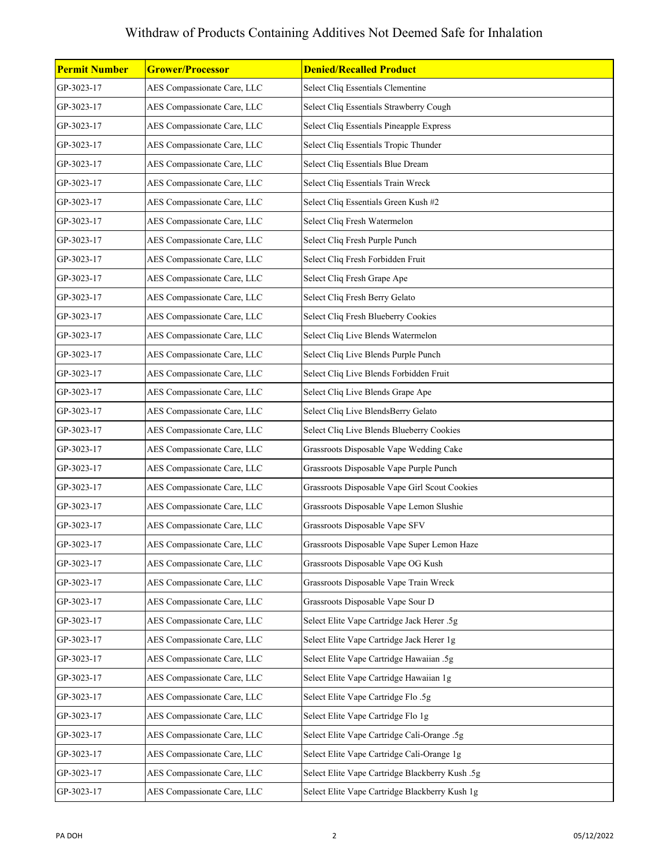| Permit Number | <b>Grower/Processor</b>     | <b>Denied/Recalled Product</b>                  |
|---------------|-----------------------------|-------------------------------------------------|
| GP-3023-17    | AES Compassionate Care, LLC | Select Cliq Essentials Clementine               |
| GP-3023-17    | AES Compassionate Care, LLC | Select Cliq Essentials Strawberry Cough         |
| GP-3023-17    | AES Compassionate Care, LLC | Select Cliq Essentials Pineapple Express        |
| GP-3023-17    | AES Compassionate Care, LLC | Select Cliq Essentials Tropic Thunder           |
| GP-3023-17    | AES Compassionate Care, LLC | Select Cliq Essentials Blue Dream               |
| GP-3023-17    | AES Compassionate Care, LLC | Select Cliq Essentials Train Wreck              |
| GP-3023-17    | AES Compassionate Care, LLC | Select Cliq Essentials Green Kush #2            |
| GP-3023-17    | AES Compassionate Care, LLC | Select Cliq Fresh Watermelon                    |
| GP-3023-17    | AES Compassionate Care, LLC | Select Cliq Fresh Purple Punch                  |
| GP-3023-17    | AES Compassionate Care, LLC | Select Cliq Fresh Forbidden Fruit               |
| GP-3023-17    | AES Compassionate Care, LLC | Select Cliq Fresh Grape Ape                     |
| GP-3023-17    | AES Compassionate Care, LLC | Select Cliq Fresh Berry Gelato                  |
| GP-3023-17    | AES Compassionate Care, LLC | Select Cliq Fresh Blueberry Cookies             |
| GP-3023-17    | AES Compassionate Care, LLC | Select Cliq Live Blends Watermelon              |
| GP-3023-17    | AES Compassionate Care, LLC | Select Cliq Live Blends Purple Punch            |
| GP-3023-17    | AES Compassionate Care, LLC | Select Cliq Live Blends Forbidden Fruit         |
| GP-3023-17    | AES Compassionate Care, LLC | Select Cliq Live Blends Grape Ape               |
| GP-3023-17    | AES Compassionate Care, LLC | Select Cliq Live BlendsBerry Gelato             |
| GP-3023-17    | AES Compassionate Care, LLC | Select Cliq Live Blends Blueberry Cookies       |
| GP-3023-17    | AES Compassionate Care, LLC | Grassroots Disposable Vape Wedding Cake         |
| GP-3023-17    | AES Compassionate Care, LLC | Grassroots Disposable Vape Purple Punch         |
| GP-3023-17    | AES Compassionate Care, LLC | Grassroots Disposable Vape Girl Scout Cookies   |
| GP-3023-17    | AES Compassionate Care, LLC | Grassroots Disposable Vape Lemon Slushie        |
| GP-3023-17    | AES Compassionate Care, LLC | Grassroots Disposable Vape SFV                  |
| GP-3023-17    | AES Compassionate Care, LLC | Grassroots Disposable Vape Super Lemon Haze     |
| GP-3023-17    | AES Compassionate Care, LLC | Grassroots Disposable Vape OG Kush              |
| GP-3023-17    | AES Compassionate Care, LLC | Grassroots Disposable Vape Train Wreck          |
| GP-3023-17    | AES Compassionate Care, LLC | Grassroots Disposable Vape Sour D               |
| GP-3023-17    | AES Compassionate Care, LLC | Select Elite Vape Cartridge Jack Herer .5g      |
| GP-3023-17    | AES Compassionate Care, LLC | Select Elite Vape Cartridge Jack Herer 1g       |
| GP-3023-17    | AES Compassionate Care, LLC | Select Elite Vape Cartridge Hawaiian .5g        |
| GP-3023-17    | AES Compassionate Care, LLC | Select Elite Vape Cartridge Hawaiian 1g         |
| GP-3023-17    | AES Compassionate Care, LLC | Select Elite Vape Cartridge Flo.5g              |
| GP-3023-17    | AES Compassionate Care, LLC | Select Elite Vape Cartridge Flo 1g              |
| GP-3023-17    | AES Compassionate Care, LLC | Select Elite Vape Cartridge Cali-Orange .5g     |
| GP-3023-17    | AES Compassionate Care, LLC | Select Elite Vape Cartridge Cali-Orange 1g      |
| GP-3023-17    | AES Compassionate Care, LLC | Select Elite Vape Cartridge Blackberry Kush .5g |
| GP-3023-17    | AES Compassionate Care, LLC | Select Elite Vape Cartridge Blackberry Kush 1g  |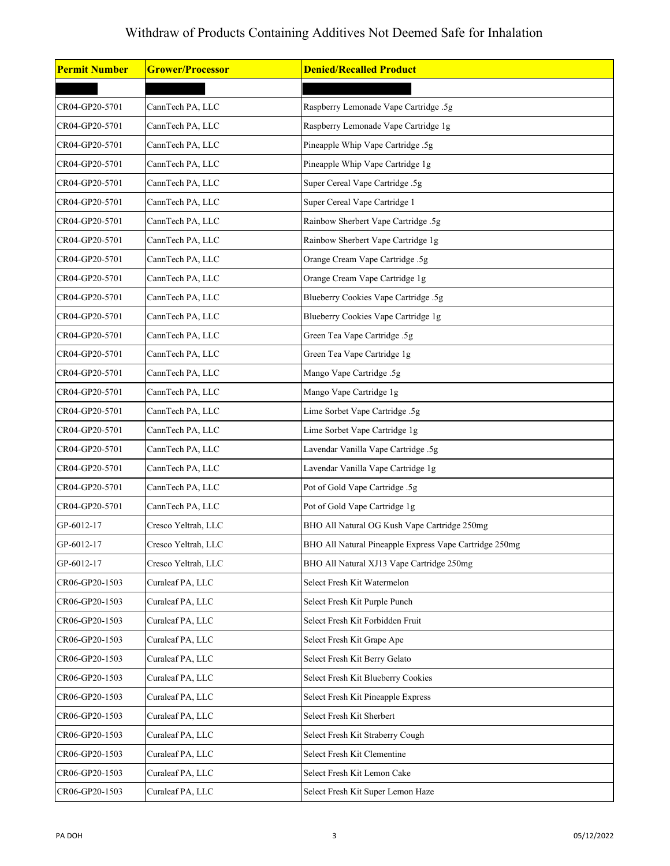| <b>Permit Number</b> | <b>Grower/Processor</b> | <b>Denied/Recalled Product</b>                         |
|----------------------|-------------------------|--------------------------------------------------------|
|                      |                         |                                                        |
| CR04-GP20-5701       | CannTech PA, LLC        | Raspberry Lemonade Vape Cartridge .5g                  |
| CR04-GP20-5701       | CannTech PA, LLC        | Raspberry Lemonade Vape Cartridge 1g                   |
| CR04-GP20-5701       | CannTech PA, LLC        | Pineapple Whip Vape Cartridge .5g                      |
| CR04-GP20-5701       | CannTech PA, LLC        | Pineapple Whip Vape Cartridge 1g                       |
| CR04-GP20-5701       | CannTech PA, LLC        | Super Cereal Vape Cartridge .5g                        |
| CR04-GP20-5701       | CannTech PA, LLC        | Super Cereal Vape Cartridge 1                          |
| CR04-GP20-5701       | CannTech PA, LLC        | Rainbow Sherbert Vape Cartridge .5g                    |
| CR04-GP20-5701       | CannTech PA, LLC        | Rainbow Sherbert Vape Cartridge 1g                     |
| CR04-GP20-5701       | CannTech PA, LLC        | Orange Cream Vape Cartridge .5g                        |
| CR04-GP20-5701       | CannTech PA, LLC        | Orange Cream Vape Cartridge 1g                         |
| CR04-GP20-5701       | CannTech PA, LLC        | Blueberry Cookies Vape Cartridge .5g                   |
| CR04-GP20-5701       | CannTech PA, LLC        | Blueberry Cookies Vape Cartridge 1g                    |
| CR04-GP20-5701       | CannTech PA, LLC        | Green Tea Vape Cartridge .5g                           |
| CR04-GP20-5701       | CannTech PA, LLC        | Green Tea Vape Cartridge 1g                            |
| CR04-GP20-5701       | CannTech PA, LLC        | Mango Vape Cartridge .5g                               |
| CR04-GP20-5701       | CannTech PA, LLC        | Mango Vape Cartridge 1g                                |
| CR04-GP20-5701       | CannTech PA, LLC        | Lime Sorbet Vape Cartridge .5g                         |
| CR04-GP20-5701       | CannTech PA, LLC        | Lime Sorbet Vape Cartridge 1g                          |
| CR04-GP20-5701       | CannTech PA, LLC        | Lavendar Vanilla Vape Cartridge .5g                    |
| CR04-GP20-5701       | CannTech PA, LLC        | Lavendar Vanilla Vape Cartridge 1g                     |
| CR04-GP20-5701       | CannTech PA, LLC        | Pot of Gold Vape Cartridge .5g                         |
| CR04-GP20-5701       | CannTech PA, LLC        | Pot of Gold Vape Cartridge 1g                          |
| GP-6012-17           | Cresco Yeltrah, LLC     | BHO All Natural OG Kush Vape Cartridge 250mg           |
| GP-6012-17           | Cresco Yeltrah, LLC     | BHO All Natural Pineapple Express Vape Cartridge 250mg |
| GP-6012-17           | Cresco Yeltrah, LLC     | BHO All Natural XJ13 Vape Cartridge 250mg              |
| CR06-GP20-1503       | Curaleaf PA, LLC        | Select Fresh Kit Watermelon                            |
| CR06-GP20-1503       | Curaleaf PA, LLC        | Select Fresh Kit Purple Punch                          |
| CR06-GP20-1503       | Curaleaf PA, LLC        | Select Fresh Kit Forbidden Fruit                       |
| CR06-GP20-1503       | Curaleaf PA, LLC        | Select Fresh Kit Grape Ape                             |
| CR06-GP20-1503       | Curaleaf PA, LLC        | Select Fresh Kit Berry Gelato                          |
| CR06-GP20-1503       | Curaleaf PA, LLC        | Select Fresh Kit Blueberry Cookies                     |
| CR06-GP20-1503       | Curaleaf PA, LLC        | Select Fresh Kit Pineapple Express                     |
| CR06-GP20-1503       | Curaleaf PA, LLC        | Select Fresh Kit Sherbert                              |
| CR06-GP20-1503       | Curaleaf PA, LLC        | Select Fresh Kit Straberry Cough                       |
| CR06-GP20-1503       | Curaleaf PA, LLC        | Select Fresh Kit Clementine                            |
| CR06-GP20-1503       | Curaleaf PA, LLC        | Select Fresh Kit Lemon Cake                            |
| CR06-GP20-1503       | Curaleaf PA, LLC        | Select Fresh Kit Super Lemon Haze                      |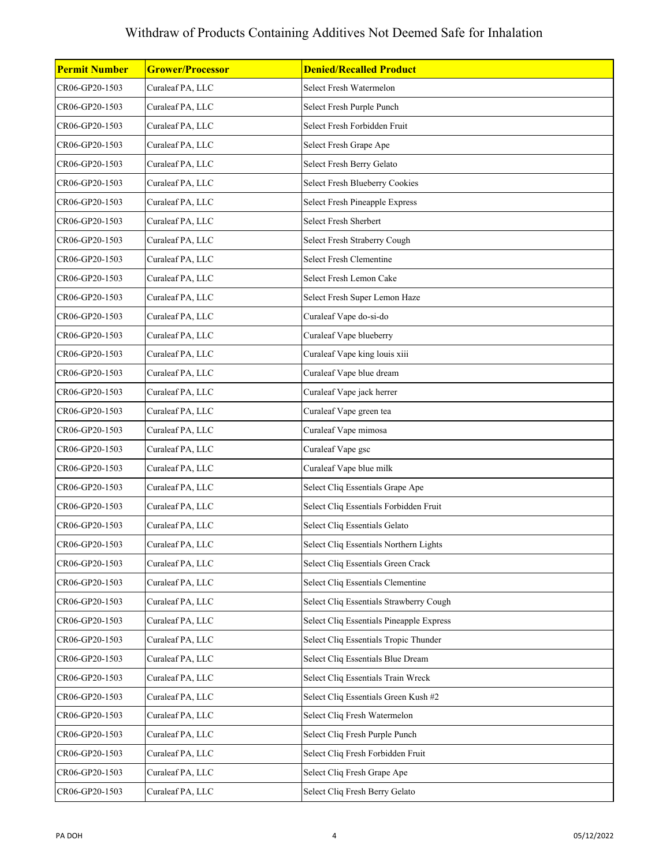| <b>Permit Number</b> | <b>Grower/Processor</b> | <b>Denied/Recalled Product</b>           |
|----------------------|-------------------------|------------------------------------------|
| CR06-GP20-1503       | Curaleaf PA, LLC        | Select Fresh Watermelon                  |
| CR06-GP20-1503       | Curaleaf PA, LLC        | Select Fresh Purple Punch                |
| CR06-GP20-1503       | Curaleaf PA, LLC        | Select Fresh Forbidden Fruit             |
| CR06-GP20-1503       | Curaleaf PA, LLC        | Select Fresh Grape Ape                   |
| CR06-GP20-1503       | Curaleaf PA, LLC        | Select Fresh Berry Gelato                |
| CR06-GP20-1503       | Curaleaf PA, LLC        | Select Fresh Blueberry Cookies           |
| CR06-GP20-1503       | Curaleaf PA, LLC        | Select Fresh Pineapple Express           |
| CR06-GP20-1503       | Curaleaf PA, LLC        | Select Fresh Sherbert                    |
| CR06-GP20-1503       | Curaleaf PA, LLC        | Select Fresh Straberry Cough             |
| CR06-GP20-1503       | Curaleaf PA, LLC        | Select Fresh Clementine                  |
| CR06-GP20-1503       | Curaleaf PA, LLC        | Select Fresh Lemon Cake                  |
| CR06-GP20-1503       | Curaleaf PA, LLC        | Select Fresh Super Lemon Haze            |
| CR06-GP20-1503       | Curaleaf PA, LLC        | Curaleaf Vape do-si-do                   |
| CR06-GP20-1503       | Curaleaf PA, LLC        | Curaleaf Vape blueberry                  |
| CR06-GP20-1503       | Curaleaf PA, LLC        | Curaleaf Vape king louis xiii            |
| CR06-GP20-1503       | Curaleaf PA, LLC        | Curaleaf Vape blue dream                 |
| CR06-GP20-1503       | Curaleaf PA, LLC        | Curaleaf Vape jack herrer                |
| CR06-GP20-1503       | Curaleaf PA, LLC        | Curaleaf Vape green tea                  |
| CR06-GP20-1503       | Curaleaf PA, LLC        | Curaleaf Vape mimosa                     |
| CR06-GP20-1503       | Curaleaf PA, LLC        | Curaleaf Vape gsc                        |
| CR06-GP20-1503       | Curaleaf PA, LLC        | Curaleaf Vape blue milk                  |
| CR06-GP20-1503       | Curaleaf PA, LLC        | Select Cliq Essentials Grape Ape         |
| CR06-GP20-1503       | Curaleaf PA, LLC        | Select Cliq Essentials Forbidden Fruit   |
| CR06-GP20-1503       | Curaleaf PA, LLC        | Select Cliq Essentials Gelato            |
| CR06-GP20-1503       | Curaleaf PA, LLC        | Select Cliq Essentials Northern Lights   |
| CR06-GP20-1503       | Curaleaf PA, LLC        | Select Cliq Essentials Green Crack       |
| CR06-GP20-1503       | Curaleaf PA, LLC        | Select Cliq Essentials Clementine        |
| CR06-GP20-1503       | Curaleaf PA, LLC        | Select Cliq Essentials Strawberry Cough  |
| CR06-GP20-1503       | Curaleaf PA, LLC        | Select Cliq Essentials Pineapple Express |
| CR06-GP20-1503       | Curaleaf PA, LLC        | Select Cliq Essentials Tropic Thunder    |
| CR06-GP20-1503       | Curaleaf PA, LLC        | Select Cliq Essentials Blue Dream        |
| CR06-GP20-1503       | Curaleaf PA, LLC        | Select Cliq Essentials Train Wreck       |
| CR06-GP20-1503       | Curaleaf PA, LLC        | Select Cliq Essentials Green Kush #2     |
| CR06-GP20-1503       | Curaleaf PA, LLC        | Select Cliq Fresh Watermelon             |
| CR06-GP20-1503       | Curaleaf PA, LLC        | Select Cliq Fresh Purple Punch           |
| CR06-GP20-1503       | Curaleaf PA, LLC        | Select Cliq Fresh Forbidden Fruit        |
| CR06-GP20-1503       | Curaleaf PA, LLC        | Select Cliq Fresh Grape Ape              |
| CR06-GP20-1503       | Curaleaf PA, LLC        | Select Cliq Fresh Berry Gelato           |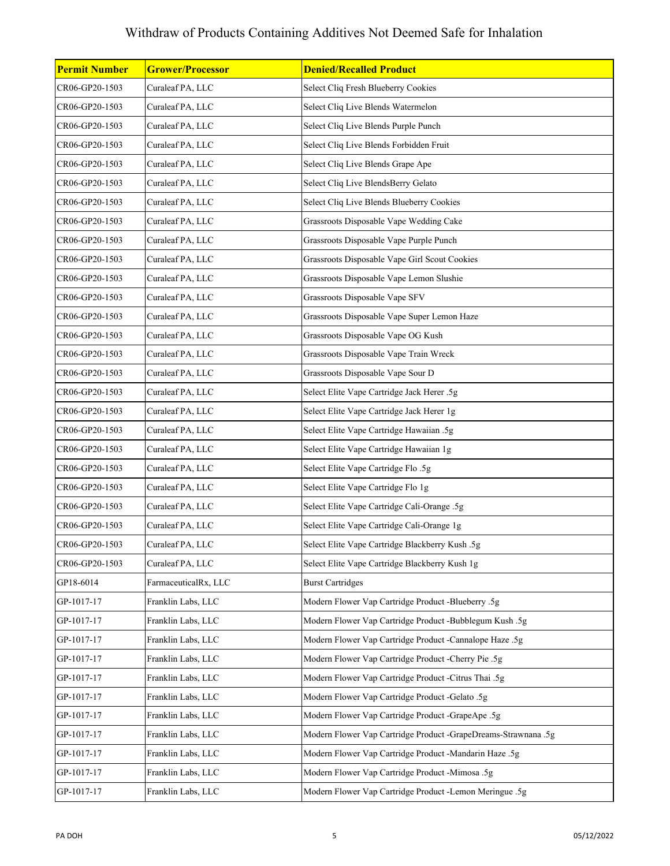| <b>Permit Number</b> | <b>Grower/Processor</b> | <b>Denied/Recalled Product</b>                                 |
|----------------------|-------------------------|----------------------------------------------------------------|
| CR06-GP20-1503       | Curaleaf PA, LLC        | Select Cliq Fresh Blueberry Cookies                            |
| CR06-GP20-1503       | Curaleaf PA, LLC        | Select Cliq Live Blends Watermelon                             |
| CR06-GP20-1503       | Curaleaf PA, LLC        | Select Cliq Live Blends Purple Punch                           |
| CR06-GP20-1503       | Curaleaf PA, LLC        | Select Cliq Live Blends Forbidden Fruit                        |
| CR06-GP20-1503       | Curaleaf PA, LLC        | Select Cliq Live Blends Grape Ape                              |
| CR06-GP20-1503       | Curaleaf PA, LLC        | Select Cliq Live BlendsBerry Gelato                            |
| CR06-GP20-1503       | Curaleaf PA, LLC        | Select Cliq Live Blends Blueberry Cookies                      |
| CR06-GP20-1503       | Curaleaf PA, LLC        | Grassroots Disposable Vape Wedding Cake                        |
| CR06-GP20-1503       | Curaleaf PA, LLC        | Grassroots Disposable Vape Purple Punch                        |
| CR06-GP20-1503       | Curaleaf PA, LLC        | Grassroots Disposable Vape Girl Scout Cookies                  |
| CR06-GP20-1503       | Curaleaf PA, LLC        | Grassroots Disposable Vape Lemon Slushie                       |
| CR06-GP20-1503       | Curaleaf PA, LLC        | Grassroots Disposable Vape SFV                                 |
| CR06-GP20-1503       | Curaleaf PA, LLC        | Grassroots Disposable Vape Super Lemon Haze                    |
| CR06-GP20-1503       | Curaleaf PA, LLC        | Grassroots Disposable Vape OG Kush                             |
| CR06-GP20-1503       | Curaleaf PA, LLC        | Grassroots Disposable Vape Train Wreck                         |
| CR06-GP20-1503       | Curaleaf PA, LLC        | Grassroots Disposable Vape Sour D                              |
| CR06-GP20-1503       | Curaleaf PA, LLC        | Select Elite Vape Cartridge Jack Herer .5g                     |
| CR06-GP20-1503       | Curaleaf PA, LLC        | Select Elite Vape Cartridge Jack Herer 1g                      |
| CR06-GP20-1503       | Curaleaf PA, LLC        | Select Elite Vape Cartridge Hawaiian .5g                       |
| CR06-GP20-1503       | Curaleaf PA, LLC        | Select Elite Vape Cartridge Hawaiian 1g                        |
| CR06-GP20-1503       | Curaleaf PA, LLC        | Select Elite Vape Cartridge Flo.5g                             |
| CR06-GP20-1503       | Curaleaf PA, LLC        | Select Elite Vape Cartridge Flo 1g                             |
| CR06-GP20-1503       | Curaleaf PA, LLC        | Select Elite Vape Cartridge Cali-Orange .5g                    |
| CR06-GP20-1503       | Curaleaf PA, LLC        | Select Elite Vape Cartridge Cali-Orange 1g                     |
| CR06-GP20-1503       | Curaleaf PA, LLC        | Select Elite Vape Cartridge Blackberry Kush .5g                |
| CR06-GP20-1503       | Curaleaf PA, LLC        | Select Elite Vape Cartridge Blackberry Kush 1g                 |
| GP18-6014            | FarmaceuticalRx, LLC    | <b>Burst Cartridges</b>                                        |
| GP-1017-17           | Franklin Labs, LLC      | Modern Flower Vap Cartridge Product -Blueberry .5g             |
| GP-1017-17           | Franklin Labs, LLC      | Modern Flower Vap Cartridge Product -Bubblegum Kush .5g        |
| GP-1017-17           | Franklin Labs, LLC      | Modern Flower Vap Cartridge Product -Cannalope Haze .5g        |
| GP-1017-17           | Franklin Labs, LLC      | Modern Flower Vap Cartridge Product -Cherry Pie .5g            |
| GP-1017-17           | Franklin Labs, LLC      | Modern Flower Vap Cartridge Product -Citrus Thai .5g           |
| GP-1017-17           | Franklin Labs, LLC      | Modern Flower Vap Cartridge Product -Gelato .5g                |
| GP-1017-17           | Franklin Labs, LLC      | Modern Flower Vap Cartridge Product -GrapeApe .5g              |
| GP-1017-17           | Franklin Labs, LLC      | Modern Flower Vap Cartridge Product -GrapeDreams-Strawnana .5g |
| GP-1017-17           | Franklin Labs, LLC      | Modern Flower Vap Cartridge Product -Mandarin Haze .5g         |
| GP-1017-17           | Franklin Labs, LLC      | Modern Flower Vap Cartridge Product -Mimosa .5g                |
| GP-1017-17           | Franklin Labs, LLC      | Modern Flower Vap Cartridge Product -Lemon Meringue .5g        |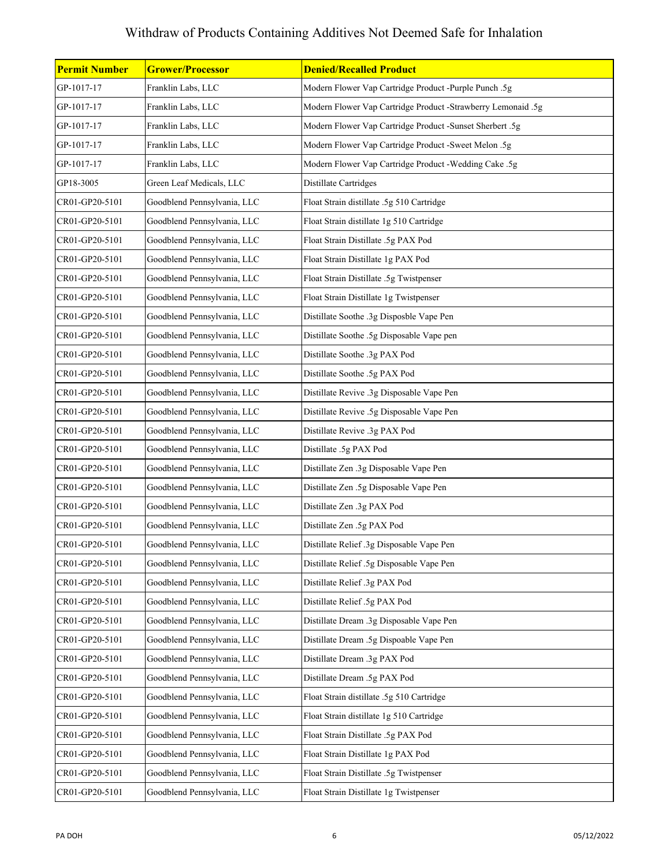| <b>Permit Number</b> | <b>Grower/Processor</b>     | <b>Denied/Recalled Product</b>                               |
|----------------------|-----------------------------|--------------------------------------------------------------|
| GP-1017-17           | Franklin Labs, LLC          | Modern Flower Vap Cartridge Product -Purple Punch .5g        |
| GP-1017-17           | Franklin Labs, LLC          | Modern Flower Vap Cartridge Product -Strawberry Lemonaid .5g |
| GP-1017-17           | Franklin Labs, LLC          | Modern Flower Vap Cartridge Product -Sunset Sherbert .5g     |
| GP-1017-17           | Franklin Labs, LLC          | Modern Flower Vap Cartridge Product -Sweet Melon .5g         |
| GP-1017-17           | Franklin Labs, LLC          | Modern Flower Vap Cartridge Product -Wedding Cake .5g        |
| GP18-3005            | Green Leaf Medicals, LLC    | Distillate Cartridges                                        |
| CR01-GP20-5101       | Goodblend Pennsylvania, LLC | Float Strain distillate .5g 510 Cartridge                    |
| CR01-GP20-5101       | Goodblend Pennsylvania, LLC | Float Strain distillate 1g 510 Cartridge                     |
| CR01-GP20-5101       | Goodblend Pennsylvania, LLC | Float Strain Distillate .5g PAX Pod                          |
| CR01-GP20-5101       | Goodblend Pennsylvania, LLC | Float Strain Distillate 1g PAX Pod                           |
| CR01-GP20-5101       | Goodblend Pennsylvania, LLC | Float Strain Distillate .5g Twistpenser                      |
| CR01-GP20-5101       | Goodblend Pennsylvania, LLC | Float Strain Distillate 1g Twistpenser                       |
| CR01-GP20-5101       | Goodblend Pennsylvania, LLC | Distillate Soothe .3g Disposble Vape Pen                     |
| CR01-GP20-5101       | Goodblend Pennsylvania, LLC | Distillate Soothe .5g Disposable Vape pen                    |
| CR01-GP20-5101       | Goodblend Pennsylvania, LLC | Distillate Soothe .3g PAX Pod                                |
| CR01-GP20-5101       | Goodblend Pennsylvania, LLC | Distillate Soothe .5g PAX Pod                                |
| CR01-GP20-5101       | Goodblend Pennsylvania, LLC | Distillate Revive .3g Disposable Vape Pen                    |
| CR01-GP20-5101       | Goodblend Pennsylvania, LLC | Distillate Revive .5g Disposable Vape Pen                    |
| CR01-GP20-5101       | Goodblend Pennsylvania, LLC | Distillate Revive .3g PAX Pod                                |
| CR01-GP20-5101       | Goodblend Pennsylvania, LLC | Distillate .5g PAX Pod                                       |
| CR01-GP20-5101       | Goodblend Pennsylvania, LLC | Distillate Zen .3g Disposable Vape Pen                       |
| CR01-GP20-5101       | Goodblend Pennsylvania, LLC | Distillate Zen .5g Disposable Vape Pen                       |
| CR01-GP20-5101       | Goodblend Pennsylvania, LLC | Distillate Zen .3g PAX Pod                                   |
| CR01-GP20-5101       | Goodblend Pennsylvania, LLC | Distillate Zen .5g PAX Pod                                   |
| CR01-GP20-5101       | Goodblend Pennsylvania, LLC | Distillate Relief .3g Disposable Vape Pen                    |
| CR01-GP20-5101       | Goodblend Pennsylvania, LLC | Distillate Relief .5g Disposable Vape Pen                    |
| CR01-GP20-5101       | Goodblend Pennsylvania, LLC | Distillate Relief .3g PAX Pod                                |
| CR01-GP20-5101       | Goodblend Pennsylvania, LLC | Distillate Relief .5g PAX Pod                                |
| CR01-GP20-5101       | Goodblend Pennsylvania, LLC | Distillate Dream .3g Disposable Vape Pen                     |
| CR01-GP20-5101       | Goodblend Pennsylvania, LLC | Distillate Dream .5g Dispoable Vape Pen                      |
| CR01-GP20-5101       | Goodblend Pennsylvania, LLC | Distillate Dream .3g PAX Pod                                 |
| CR01-GP20-5101       | Goodblend Pennsylvania, LLC | Distillate Dream .5g PAX Pod                                 |
| CR01-GP20-5101       | Goodblend Pennsylvania, LLC | Float Strain distillate .5g 510 Cartridge                    |
| CR01-GP20-5101       | Goodblend Pennsylvania, LLC | Float Strain distillate 1g 510 Cartridge                     |
| CR01-GP20-5101       | Goodblend Pennsylvania, LLC | Float Strain Distillate .5g PAX Pod                          |
| CR01-GP20-5101       | Goodblend Pennsylvania, LLC | Float Strain Distillate 1g PAX Pod                           |
| CR01-GP20-5101       | Goodblend Pennsylvania, LLC | Float Strain Distillate .5g Twistpenser                      |
| CR01-GP20-5101       | Goodblend Pennsylvania, LLC | Float Strain Distillate 1g Twistpenser                       |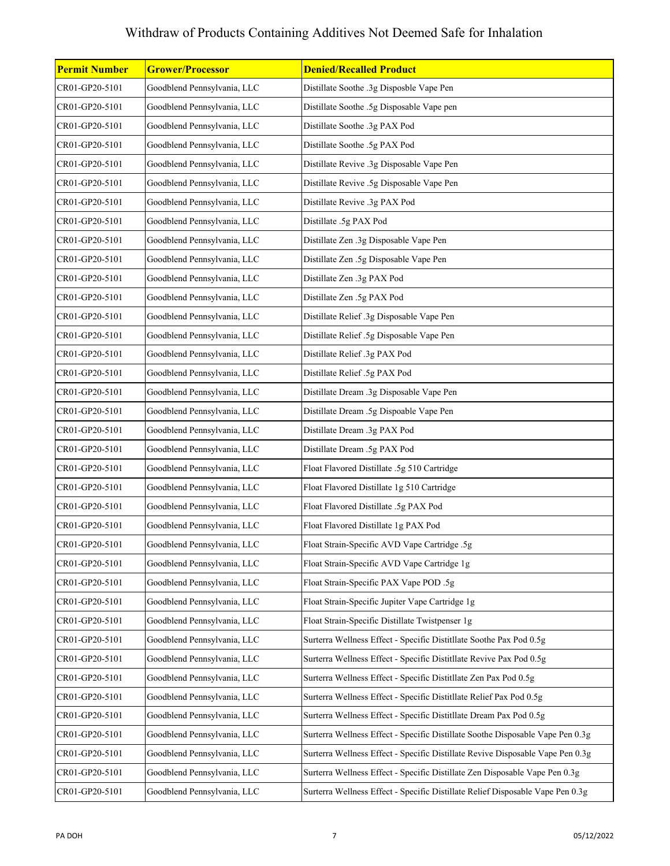| <b>Permit Number</b> | <b>Grower/Processor</b>     | <b>Denied/Recalled Product</b>                                                 |
|----------------------|-----------------------------|--------------------------------------------------------------------------------|
| CR01-GP20-5101       | Goodblend Pennsylvania, LLC | Distillate Soothe .3g Disposble Vape Pen                                       |
| CR01-GP20-5101       | Goodblend Pennsylvania, LLC | Distillate Soothe .5g Disposable Vape pen                                      |
| CR01-GP20-5101       | Goodblend Pennsylvania, LLC | Distillate Soothe .3g PAX Pod                                                  |
| CR01-GP20-5101       | Goodblend Pennsylvania, LLC | Distillate Soothe .5g PAX Pod                                                  |
| CR01-GP20-5101       | Goodblend Pennsylvania, LLC | Distillate Revive .3g Disposable Vape Pen                                      |
| CR01-GP20-5101       | Goodblend Pennsylvania, LLC | Distillate Revive .5g Disposable Vape Pen                                      |
| CR01-GP20-5101       | Goodblend Pennsylvania, LLC | Distillate Revive .3g PAX Pod                                                  |
| CR01-GP20-5101       | Goodblend Pennsylvania, LLC | Distillate .5g PAX Pod                                                         |
| CR01-GP20-5101       | Goodblend Pennsylvania, LLC | Distillate Zen .3g Disposable Vape Pen                                         |
| CR01-GP20-5101       | Goodblend Pennsylvania, LLC | Distillate Zen .5g Disposable Vape Pen                                         |
| CR01-GP20-5101       | Goodblend Pennsylvania, LLC | Distillate Zen .3g PAX Pod                                                     |
| CR01-GP20-5101       | Goodblend Pennsylvania, LLC | Distillate Zen .5g PAX Pod                                                     |
| CR01-GP20-5101       | Goodblend Pennsylvania, LLC | Distillate Relief .3g Disposable Vape Pen                                      |
| CR01-GP20-5101       | Goodblend Pennsylvania, LLC | Distillate Relief .5g Disposable Vape Pen                                      |
| CR01-GP20-5101       | Goodblend Pennsylvania, LLC | Distillate Relief .3g PAX Pod                                                  |
| CR01-GP20-5101       | Goodblend Pennsylvania, LLC | Distillate Relief .5g PAX Pod                                                  |
| CR01-GP20-5101       | Goodblend Pennsylvania, LLC | Distillate Dream .3g Disposable Vape Pen                                       |
| CR01-GP20-5101       | Goodblend Pennsylvania, LLC | Distillate Dream .5g Dispoable Vape Pen                                        |
| CR01-GP20-5101       | Goodblend Pennsylvania, LLC | Distillate Dream .3g PAX Pod                                                   |
| CR01-GP20-5101       | Goodblend Pennsylvania, LLC | Distillate Dream .5g PAX Pod                                                   |
| CR01-GP20-5101       | Goodblend Pennsylvania, LLC | Float Flavored Distillate .5g 510 Cartridge                                    |
| CR01-GP20-5101       | Goodblend Pennsylvania, LLC | Float Flavored Distillate 1g 510 Cartridge                                     |
| CR01-GP20-5101       | Goodblend Pennsylvania, LLC | Float Flavored Distillate .5g PAX Pod                                          |
| CR01-GP20-5101       | Goodblend Pennsylvania, LLC | Float Flavored Distillate 1g PAX Pod                                           |
| CR01-GP20-5101       | Goodblend Pennsylvania, LLC | Float Strain-Specific AVD Vape Cartridge .5g                                   |
| CR01-GP20-5101       | Goodblend Pennsylvania, LLC | Float Strain-Specific AVD Vape Cartridge 1g                                    |
| CR01-GP20-5101       | Goodblend Pennsylvania, LLC | Float Strain-Specific PAX Vape POD .5g                                         |
| CR01-GP20-5101       | Goodblend Pennsylvania, LLC | Float Strain-Specific Jupiter Vape Cartridge 1g                                |
| CR01-GP20-5101       | Goodblend Pennsylvania, LLC | Float Strain-Specific Distillate Twistpenser 1g                                |
| CR01-GP20-5101       | Goodblend Pennsylvania, LLC | Surterra Wellness Effect - Specific Distitllate Soothe Pax Pod 0.5g            |
| CR01-GP20-5101       | Goodblend Pennsylvania, LLC | Surterra Wellness Effect - Specific Distitllate Revive Pax Pod 0.5g            |
| CR01-GP20-5101       | Goodblend Pennsylvania, LLC | Surterra Wellness Effect - Specific Distitllate Zen Pax Pod 0.5g               |
| CR01-GP20-5101       | Goodblend Pennsylvania, LLC | Surterra Wellness Effect - Specific Distitllate Relief Pax Pod 0.5g            |
| CR01-GP20-5101       | Goodblend Pennsylvania, LLC | Surterra Wellness Effect - Specific Distitllate Dream Pax Pod 0.5g             |
| CR01-GP20-5101       | Goodblend Pennsylvania, LLC | Surterra Wellness Effect - Specific Distillate Soothe Disposable Vape Pen 0.3g |
| CR01-GP20-5101       | Goodblend Pennsylvania, LLC | Surterra Wellness Effect - Specific Distillate Revive Disposable Vape Pen 0.3g |
| CR01-GP20-5101       | Goodblend Pennsylvania, LLC | Surterra Wellness Effect - Specific Distillate Zen Disposable Vape Pen 0.3g    |
| CR01-GP20-5101       | Goodblend Pennsylvania, LLC | Surterra Wellness Effect - Specific Distillate Relief Disposable Vape Pen 0.3g |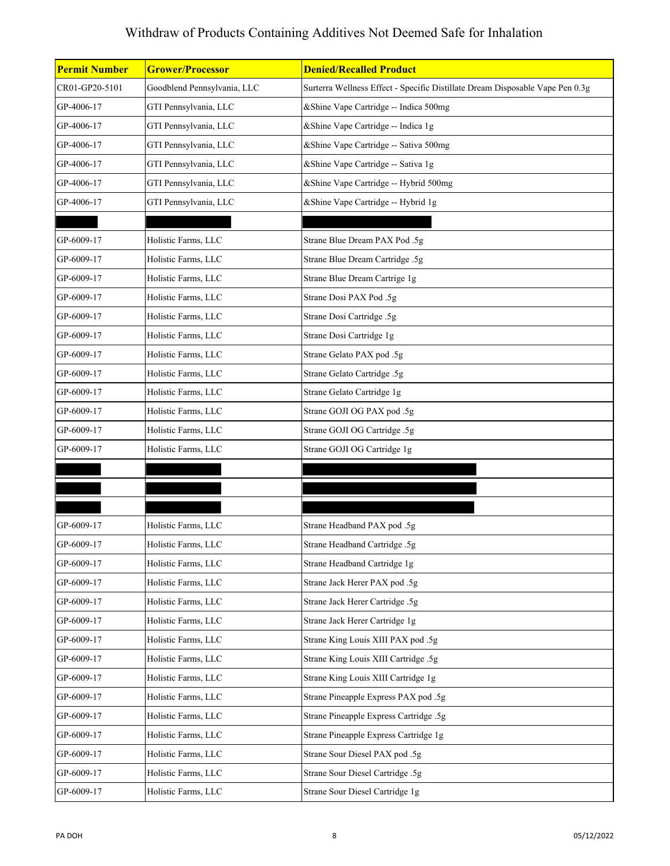| <b>Permit Number</b> | <b>Grower/Processor</b>     | <b>Denied/Recalled Product</b>                                                |
|----------------------|-----------------------------|-------------------------------------------------------------------------------|
| CR01-GP20-5101       | Goodblend Pennsylvania, LLC | Surterra Wellness Effect - Specific Distillate Dream Disposable Vape Pen 0.3g |
| GP-4006-17           | GTI Pennsylvania, LLC       | &Shine Vape Cartridge -- Indica 500mg                                         |
| GP-4006-17           | GTI Pennsylvania, LLC       | &Shine Vape Cartridge -- Indica 1g                                            |
| GP-4006-17           | GTI Pennsylvania, LLC       | &Shine Vape Cartridge -- Sativa 500mg                                         |
| GP-4006-17           | GTI Pennsylvania, LLC       | &Shine Vape Cartridge -- Sativa 1g                                            |
| GP-4006-17           | GTI Pennsylvania, LLC       | &Shine Vape Cartridge -- Hybrid 500mg                                         |
| GP-4006-17           | GTI Pennsylvania, LLC       | &Shine Vape Cartridge -- Hybrid 1g                                            |
|                      |                             |                                                                               |
| GP-6009-17           | Holistic Farms, LLC         | Strane Blue Dream PAX Pod .5g                                                 |
| GP-6009-17           | Holistic Farms, LLC         | Strane Blue Dream Cartridge .5g                                               |
| GP-6009-17           | Holistic Farms, LLC         | Strane Blue Dream Cartrige 1g                                                 |
| GP-6009-17           | Holistic Farms, LLC         | Strane Dosi PAX Pod .5g                                                       |
| GP-6009-17           | Holistic Farms, LLC         | Strane Dosi Cartridge .5g                                                     |
| GP-6009-17           | Holistic Farms, LLC         | Strane Dosi Cartridge 1g                                                      |
| GP-6009-17           | Holistic Farms, LLC         | Strane Gelato PAX pod .5g                                                     |
| GP-6009-17           | Holistic Farms, LLC         | Strane Gelato Cartridge .5g                                                   |
| GP-6009-17           | Holistic Farms, LLC         | Strane Gelato Cartridge 1g                                                    |
| GP-6009-17           | Holistic Farms, LLC         | Strane GOJI OG PAX pod .5g                                                    |
| GP-6009-17           | Holistic Farms, LLC         | Strane GOJI OG Cartridge .5g                                                  |
| GP-6009-17           | Holistic Farms, LLC         | Strane GOJI OG Cartridge 1g                                                   |
|                      |                             |                                                                               |
|                      |                             |                                                                               |
|                      |                             |                                                                               |
| GP-6009-17           | Holistic Farms, LLC         | Strane Headband PAX pod .5g                                                   |
| GP-6009-17           | Holistic Farms, LLC         | Strane Headband Cartridge .5g                                                 |
| GP-6009-17           | Holistic Farms, LLC         | Strane Headband Cartridge 1g                                                  |
| GP-6009-17           | Holistic Farms, LLC         | Strane Jack Herer PAX pod .5g                                                 |
| GP-6009-17           | Holistic Farms, LLC         | Strane Jack Herer Cartridge .5g                                               |
| GP-6009-17           | Holistic Farms, LLC         | Strane Jack Herer Cartridge 1g                                                |
| GP-6009-17           | Holistic Farms, LLC         | Strane King Louis XIII PAX pod .5g                                            |
| GP-6009-17           | Holistic Farms, LLC         | Strane King Louis XIII Cartridge .5g                                          |
| GP-6009-17           | Holistic Farms, LLC         | Strane King Louis XIII Cartridge 1g                                           |
| GP-6009-17           | Holistic Farms, LLC         | Strane Pineapple Express PAX pod .5g                                          |
| GP-6009-17           | Holistic Farms, LLC         | Strane Pineapple Express Cartridge .5g                                        |
| GP-6009-17           | Holistic Farms, LLC         | Strane Pineapple Express Cartridge 1g                                         |
| GP-6009-17           | Holistic Farms, LLC         | Strane Sour Diesel PAX pod .5g                                                |
| GP-6009-17           | Holistic Farms, LLC         | Strane Sour Diesel Cartridge .5g                                              |
| GP-6009-17           | Holistic Farms, LLC         | Strane Sour Diesel Cartridge 1g                                               |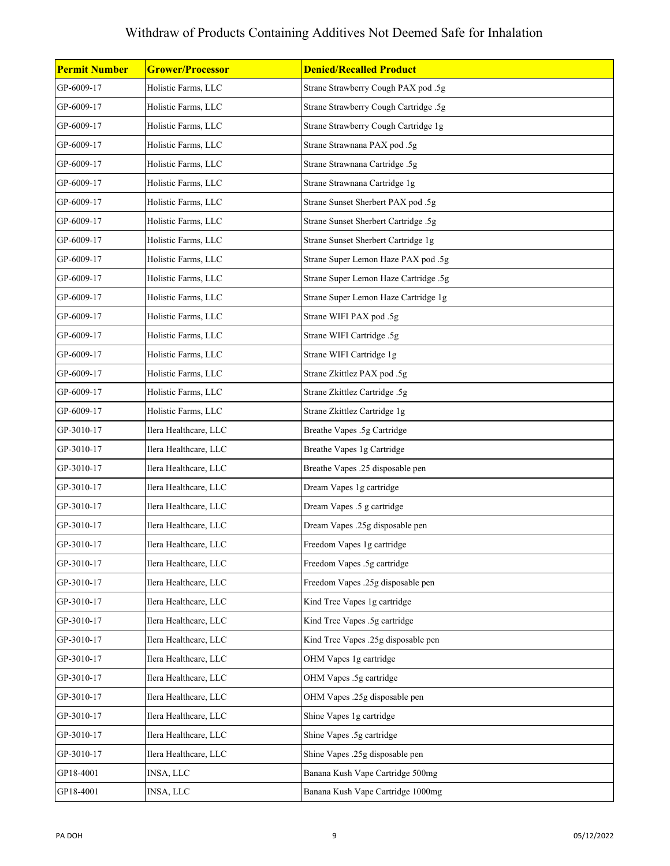| <b>Permit Number</b> | <b>Grower/Processor</b> | <b>Denied/Recalled Product</b>        |
|----------------------|-------------------------|---------------------------------------|
| GP-6009-17           | Holistic Farms, LLC     | Strane Strawberry Cough PAX pod .5g   |
| GP-6009-17           | Holistic Farms, LLC     | Strane Strawberry Cough Cartridge .5g |
| GP-6009-17           | Holistic Farms, LLC     | Strane Strawberry Cough Cartridge 1g  |
| GP-6009-17           | Holistic Farms, LLC     | Strane Strawnana PAX pod .5g          |
| GP-6009-17           | Holistic Farms, LLC     | Strane Strawnana Cartridge .5g        |
| GP-6009-17           | Holistic Farms, LLC     | Strane Strawnana Cartridge 1g         |
| GP-6009-17           | Holistic Farms, LLC     | Strane Sunset Sherbert PAX pod .5g    |
| GP-6009-17           | Holistic Farms, LLC     | Strane Sunset Sherbert Cartridge .5g  |
| GP-6009-17           | Holistic Farms, LLC     | Strane Sunset Sherbert Cartridge 1g   |
| GP-6009-17           | Holistic Farms, LLC     | Strane Super Lemon Haze PAX pod .5g   |
| GP-6009-17           | Holistic Farms, LLC     | Strane Super Lemon Haze Cartridge .5g |
| GP-6009-17           | Holistic Farms, LLC     | Strane Super Lemon Haze Cartridge 1g  |
| GP-6009-17           | Holistic Farms, LLC     | Strane WIFI PAX pod .5g               |
| GP-6009-17           | Holistic Farms, LLC     | Strane WIFI Cartridge .5g             |
| GP-6009-17           | Holistic Farms, LLC     | Strane WIFI Cartridge 1g              |
| GP-6009-17           | Holistic Farms, LLC     | Strane Zkittlez PAX pod .5g           |
| GP-6009-17           | Holistic Farms, LLC     | Strane Zkittlez Cartridge .5g         |
| GP-6009-17           | Holistic Farms, LLC     | Strane Zkittlez Cartridge 1g          |
| GP-3010-17           | Ilera Healthcare, LLC   | Breathe Vapes .5g Cartridge           |
| GP-3010-17           | Ilera Healthcare, LLC   | Breathe Vapes 1g Cartridge            |
| GP-3010-17           | Ilera Healthcare, LLC   | Breathe Vapes .25 disposable pen      |
| GP-3010-17           | Ilera Healthcare, LLC   | Dream Vapes 1g cartridge              |
| GP-3010-17           | Ilera Healthcare, LLC   | Dream Vapes .5 g cartridge            |
| GP-3010-17           | Ilera Healthcare, LLC   | Dream Vapes .25g disposable pen       |
| GP-3010-17           | Ilera Healthcare, LLC   | Freedom Vapes 1g cartridge            |
| GP-3010-17           | Ilera Healthcare, LLC   | Freedom Vapes .5g cartridge           |
| GP-3010-17           | Ilera Healthcare, LLC   | Freedom Vapes .25g disposable pen     |
| GP-3010-17           | Ilera Healthcare, LLC   | Kind Tree Vapes 1g cartridge          |
| GP-3010-17           | Ilera Healthcare, LLC   | Kind Tree Vapes .5g cartridge         |
| GP-3010-17           | Ilera Healthcare, LLC   | Kind Tree Vapes .25g disposable pen   |
| GP-3010-17           | Ilera Healthcare, LLC   | OHM Vapes 1g cartridge                |
| GP-3010-17           | Ilera Healthcare, LLC   | OHM Vapes .5g cartridge               |
| GP-3010-17           | Ilera Healthcare, LLC   | OHM Vapes .25g disposable pen         |
| GP-3010-17           | Ilera Healthcare, LLC   | Shine Vapes 1g cartridge              |
| GP-3010-17           | Ilera Healthcare, LLC   | Shine Vapes .5g cartridge             |
| GP-3010-17           | Ilera Healthcare, LLC   | Shine Vapes .25g disposable pen       |
| GP18-4001            | INSA, LLC               | Banana Kush Vape Cartridge 500mg      |
| GP18-4001            | INSA, LLC               | Banana Kush Vape Cartridge 1000mg     |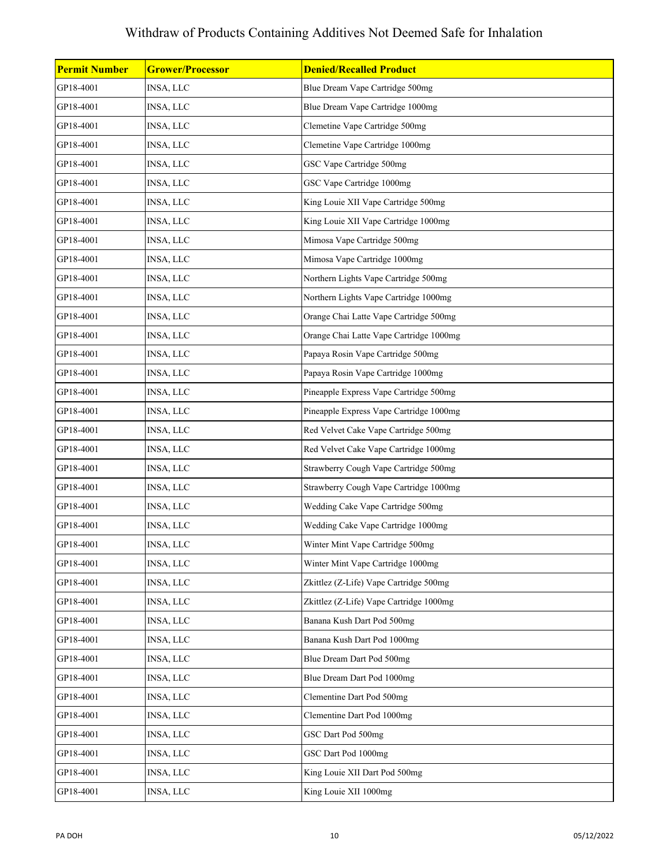| <b>Permit Number</b> | <b>Grower/Processor</b> | <b>Denied/Recalled Product</b>          |
|----------------------|-------------------------|-----------------------------------------|
| GP18-4001            | INSA, LLC               | Blue Dream Vape Cartridge 500mg         |
| GP18-4001            | INSA, LLC               | Blue Dream Vape Cartridge 1000mg        |
| GP18-4001            | INSA, LLC               | Clemetine Vape Cartridge 500mg          |
| GP18-4001            | INSA, LLC               | Clemetine Vape Cartridge 1000mg         |
| GP18-4001            | INSA, LLC               | GSC Vape Cartridge 500mg                |
| GP18-4001            | INSA, LLC               | GSC Vape Cartridge 1000mg               |
| GP18-4001            | INSA, LLC               | King Louie XII Vape Cartridge 500mg     |
| GP18-4001            | INSA, LLC               | King Louie XII Vape Cartridge 1000mg    |
| GP18-4001            | INSA, LLC               | Mimosa Vape Cartridge 500mg             |
| GP18-4001            | INSA, LLC               | Mimosa Vape Cartridge 1000mg            |
| GP18-4001            | INSA, LLC               | Northern Lights Vape Cartridge 500mg    |
| GP18-4001            | INSA, LLC               | Northern Lights Vape Cartridge 1000mg   |
| GP18-4001            | INSA, LLC               | Orange Chai Latte Vape Cartridge 500mg  |
| GP18-4001            | INSA, LLC               | Orange Chai Latte Vape Cartridge 1000mg |
| GP18-4001            | INSA, LLC               | Papaya Rosin Vape Cartridge 500mg       |
| GP18-4001            | INSA, LLC               | Papaya Rosin Vape Cartridge 1000mg      |
| GP18-4001            | INSA, LLC               | Pineapple Express Vape Cartridge 500mg  |
| GP18-4001            | INSA, LLC               | Pineapple Express Vape Cartridge 1000mg |
| GP18-4001            | INSA, LLC               | Red Velvet Cake Vape Cartridge 500mg    |
| GP18-4001            | INSA, LLC               | Red Velvet Cake Vape Cartridge 1000mg   |
| GP18-4001            | INSA, LLC               | Strawberry Cough Vape Cartridge 500mg   |
| GP18-4001            | INSA, LLC               | Strawberry Cough Vape Cartridge 1000mg  |
| GP18-4001            | INSA, LLC               | Wedding Cake Vape Cartridge 500mg       |
| GP18-4001            | INSA, LLC               | Wedding Cake Vape Cartridge 1000mg      |
| GP18-4001            | INSA, LLC               | Winter Mint Vape Cartridge 500mg        |
| GP18-4001            | INSA, LLC               | Winter Mint Vape Cartridge 1000mg       |
| GP18-4001            | INSA, LLC               | Zkittlez (Z-Life) Vape Cartridge 500mg  |
| GP18-4001            | INSA, LLC               | Zkittlez (Z-Life) Vape Cartridge 1000mg |
| GP18-4001            | INSA, LLC               | Banana Kush Dart Pod 500mg              |
| GP18-4001            | INSA, LLC               | Banana Kush Dart Pod 1000mg             |
| GP18-4001            | INSA, LLC               | Blue Dream Dart Pod 500mg               |
| GP18-4001            | INSA, LLC               | Blue Dream Dart Pod 1000mg              |
| GP18-4001            | INSA, LLC               | Clementine Dart Pod 500mg               |
| GP18-4001            | INSA, LLC               | Clementine Dart Pod 1000mg              |
| GP18-4001            | INSA, LLC               | GSC Dart Pod 500mg                      |
| GP18-4001            | INSA, LLC               | GSC Dart Pod 1000mg                     |
| GP18-4001            | INSA, LLC               | King Louie XII Dart Pod 500mg           |
| GP18-4001            | INSA, LLC               | King Louie XII 1000mg                   |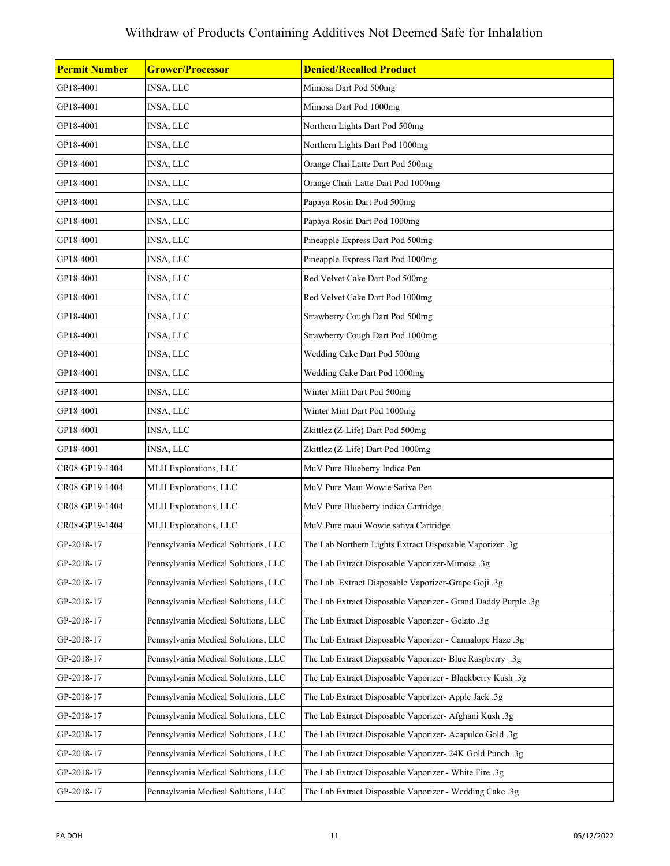| <b>Permit Number</b> | <b>Grower/Processor</b>             | <b>Denied/Recalled Product</b>                                |
|----------------------|-------------------------------------|---------------------------------------------------------------|
| GP18-4001            | INSA, LLC                           | Mimosa Dart Pod 500mg                                         |
| GP18-4001            | INSA, LLC                           | Mimosa Dart Pod 1000mg                                        |
| GP18-4001            | <b>INSA, LLC</b>                    | Northern Lights Dart Pod 500mg                                |
| GP18-4001            | INSA, LLC                           | Northern Lights Dart Pod 1000mg                               |
| GP18-4001            | INSA, LLC                           | Orange Chai Latte Dart Pod 500mg                              |
| GP18-4001            | INSA, LLC                           | Orange Chair Latte Dart Pod 1000mg                            |
| GP18-4001            | INSA, LLC                           | Papaya Rosin Dart Pod 500mg                                   |
| GP18-4001            | INSA, LLC                           | Papaya Rosin Dart Pod 1000mg                                  |
| GP18-4001            | INSA, LLC                           | Pineapple Express Dart Pod 500mg                              |
| GP18-4001            | INSA, LLC                           | Pineapple Express Dart Pod 1000mg                             |
| GP18-4001            | INSA, LLC                           | Red Velvet Cake Dart Pod 500mg                                |
| GP18-4001            | INSA, LLC                           | Red Velvet Cake Dart Pod 1000mg                               |
| GP18-4001            | INSA, LLC                           | Strawberry Cough Dart Pod 500mg                               |
| GP18-4001            | INSA, LLC                           | Strawberry Cough Dart Pod 1000mg                              |
| GP18-4001            | INSA, LLC                           | Wedding Cake Dart Pod 500mg                                   |
| GP18-4001            | INSA, LLC                           | Wedding Cake Dart Pod 1000mg                                  |
| GP18-4001            | INSA, LLC                           | Winter Mint Dart Pod 500mg                                    |
| GP18-4001            | INSA, LLC                           | Winter Mint Dart Pod 1000mg                                   |
| GP18-4001            | INSA, LLC                           | Zkittlez (Z-Life) Dart Pod 500mg                              |
| GP18-4001            | <b>INSA, LLC</b>                    | Zkittlez (Z-Life) Dart Pod 1000mg                             |
| CR08-GP19-1404       | MLH Explorations, LLC               | MuV Pure Blueberry Indica Pen                                 |
| CR08-GP19-1404       | MLH Explorations, LLC               | MuV Pure Maui Wowie Sativa Pen                                |
| CR08-GP19-1404       | MLH Explorations, LLC               | MuV Pure Blueberry indica Cartridge                           |
| CR08-GP19-1404       | MLH Explorations, LLC               | MuV Pure maui Wowie sativa Cartridge                          |
| GP-2018-17           | Pennsylvania Medical Solutions, LLC | The Lab Northern Lights Extract Disposable Vaporizer .3g      |
| GP-2018-17           | Pennsylvania Medical Solutions, LLC | The Lab Extract Disposable Vaporizer-Mimosa .3g               |
| GP-2018-17           | Pennsylvania Medical Solutions, LLC | The Lab Extract Disposable Vaporizer-Grape Goji .3g           |
| GP-2018-17           | Pennsylvania Medical Solutions, LLC | The Lab Extract Disposable Vaporizer - Grand Daddy Purple .3g |
| GP-2018-17           | Pennsylvania Medical Solutions, LLC | The Lab Extract Disposable Vaporizer - Gelato .3g             |
| GP-2018-17           | Pennsylvania Medical Solutions, LLC | The Lab Extract Disposable Vaporizer - Cannalope Haze .3g     |
| GP-2018-17           | Pennsylvania Medical Solutions, LLC | The Lab Extract Disposable Vaporizer- Blue Raspberry .3g      |
| GP-2018-17           | Pennsylvania Medical Solutions, LLC | The Lab Extract Disposable Vaporizer - Blackberry Kush .3g    |
| GP-2018-17           | Pennsylvania Medical Solutions, LLC | The Lab Extract Disposable Vaporizer- Apple Jack .3g          |
| GP-2018-17           | Pennsylvania Medical Solutions, LLC | The Lab Extract Disposable Vaporizer- Afghani Kush .3g        |
| GP-2018-17           | Pennsylvania Medical Solutions, LLC | The Lab Extract Disposable Vaporizer- Acapulco Gold .3g       |
| GP-2018-17           | Pennsylvania Medical Solutions, LLC | The Lab Extract Disposable Vaporizer- 24K Gold Punch .3g      |
| GP-2018-17           | Pennsylvania Medical Solutions, LLC | The Lab Extract Disposable Vaporizer - White Fire .3g         |
| GP-2018-17           | Pennsylvania Medical Solutions, LLC | The Lab Extract Disposable Vaporizer - Wedding Cake .3g       |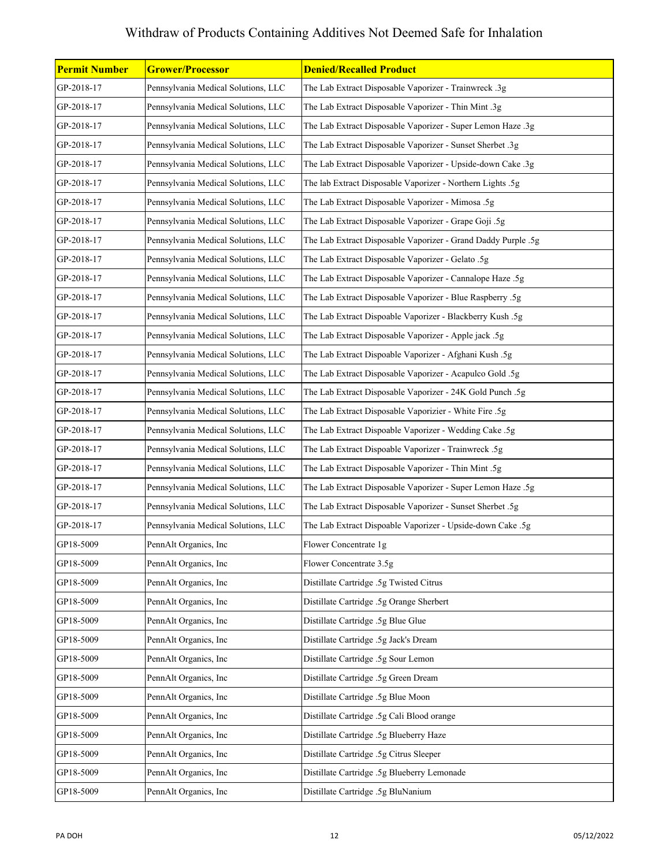| <b>Permit Number</b> | <b>Grower/Processor</b>             | <b>Denied/Recalled Product</b>                                |
|----------------------|-------------------------------------|---------------------------------------------------------------|
| GP-2018-17           | Pennsylvania Medical Solutions, LLC | The Lab Extract Disposable Vaporizer - Trainwreck .3g         |
| GP-2018-17           | Pennsylvania Medical Solutions, LLC | The Lab Extract Disposable Vaporizer - Thin Mint .3g          |
| GP-2018-17           | Pennsylvania Medical Solutions, LLC | The Lab Extract Disposable Vaporizer - Super Lemon Haze .3g   |
| GP-2018-17           | Pennsylvania Medical Solutions, LLC | The Lab Extract Disposable Vaporizer - Sunset Sherbet .3g     |
| GP-2018-17           | Pennsylvania Medical Solutions, LLC | The Lab Extract Disposable Vaporizer - Upside-down Cake .3g   |
| GP-2018-17           | Pennsylvania Medical Solutions, LLC | The lab Extract Disposable Vaporizer - Northern Lights .5g    |
| GP-2018-17           | Pennsylvania Medical Solutions, LLC | The Lab Extract Disposable Vaporizer - Mimosa .5g             |
| GP-2018-17           | Pennsylvania Medical Solutions, LLC | The Lab Extract Disposable Vaporizer - Grape Goji .5g         |
| GP-2018-17           | Pennsylvania Medical Solutions, LLC | The Lab Extract Disposable Vaporizer - Grand Daddy Purple .5g |
| GP-2018-17           | Pennsylvania Medical Solutions, LLC | The Lab Extract Disposable Vaporizer - Gelato .5g             |
| GP-2018-17           | Pennsylvania Medical Solutions, LLC | The Lab Extract Disposable Vaporizer - Cannalope Haze .5g     |
| GP-2018-17           | Pennsylvania Medical Solutions, LLC | The Lab Extract Disposable Vaporizer - Blue Raspberry .5g     |
| GP-2018-17           | Pennsylvania Medical Solutions, LLC | The Lab Extract Dispoable Vaporizer - Blackberry Kush .5g     |
| GP-2018-17           | Pennsylvania Medical Solutions, LLC | The Lab Extract Disposable Vaporizer - Apple jack .5g         |
| GP-2018-17           | Pennsylvania Medical Solutions, LLC | The Lab Extract Dispoable Vaporizer - Afghani Kush .5g        |
| GP-2018-17           | Pennsylvania Medical Solutions, LLC | The Lab Extract Disposable Vaporizer - Acapulco Gold .5g      |
| GP-2018-17           | Pennsylvania Medical Solutions, LLC | The Lab Extract Disposable Vaporizer - 24K Gold Punch .5g     |
| GP-2018-17           | Pennsylvania Medical Solutions, LLC | The Lab Extract Disposable Vaporizier - White Fire .5g        |
| GP-2018-17           | Pennsylvania Medical Solutions, LLC | The Lab Extract Dispoable Vaporizer - Wedding Cake .5g        |
| GP-2018-17           | Pennsylvania Medical Solutions, LLC | The Lab Extract Dispoable Vaporizer - Trainwreck .5g          |
| GP-2018-17           | Pennsylvania Medical Solutions, LLC | The Lab Extract Disposable Vaporizer - Thin Mint .5g          |
| GP-2018-17           | Pennsylvania Medical Solutions, LLC | The Lab Extract Disposable Vaporizer - Super Lemon Haze .5g   |
| GP-2018-17           | Pennsylvania Medical Solutions, LLC | The Lab Extract Disposable Vaporizer - Sunset Sherbet .5g     |
| GP-2018-17           | Pennsylvania Medical Solutions, LLC | The Lab Extract Dispoable Vaporizer - Upside-down Cake .5g    |
| GP18-5009            | PennAlt Organics, Inc               | Flower Concentrate 1g                                         |
| GP18-5009            | PennAlt Organics, Inc               | Flower Concentrate 3.5g                                       |
| GP18-5009            | PennAlt Organics, Inc               | Distillate Cartridge .5g Twisted Citrus                       |
| GP18-5009            | PennAlt Organics, Inc               | Distillate Cartridge .5g Orange Sherbert                      |
| GP18-5009            | PennAlt Organics, Inc               | Distillate Cartridge .5g Blue Glue                            |
| GP18-5009            | PennAlt Organics, Inc               | Distillate Cartridge .5g Jack's Dream                         |
| GP18-5009            | PennAlt Organics, Inc               | Distillate Cartridge .5g Sour Lemon                           |
| GP18-5009            | PennAlt Organics, Inc               | Distillate Cartridge .5g Green Dream                          |
| GP18-5009            | PennAlt Organics, Inc               | Distillate Cartridge .5g Blue Moon                            |
| GP18-5009            | PennAlt Organics, Inc               | Distillate Cartridge .5g Cali Blood orange                    |
| GP18-5009            | PennAlt Organics, Inc               | Distillate Cartridge .5g Blueberry Haze                       |
| GP18-5009            | PennAlt Organics, Inc               | Distillate Cartridge .5g Citrus Sleeper                       |
| GP18-5009            | PennAlt Organics, Inc               | Distillate Cartridge .5g Blueberry Lemonade                   |
| GP18-5009            | PennAlt Organics, Inc               | Distillate Cartridge .5g BluNanium                            |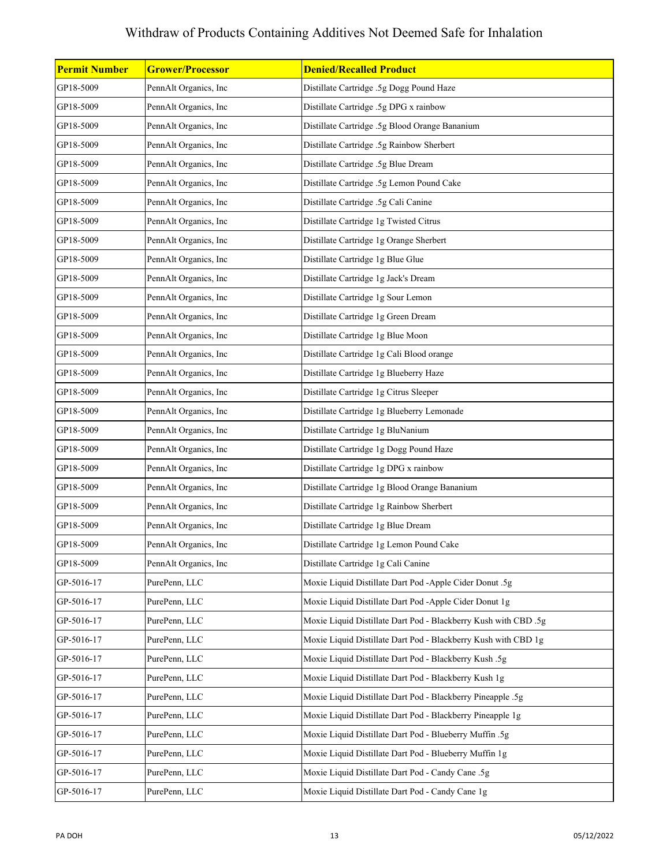| <b>Permit Number</b> | <b>Grower/Processor</b> | <b>Denied/Recalled Product</b>                                  |
|----------------------|-------------------------|-----------------------------------------------------------------|
| GP18-5009            | PennAlt Organics, Inc   | Distillate Cartridge .5g Dogg Pound Haze                        |
| GP18-5009            | PennAlt Organics, Inc   | Distillate Cartridge .5g DPG x rainbow                          |
| GP18-5009            | PennAlt Organics, Inc   | Distillate Cartridge .5g Blood Orange Bananium                  |
| GP18-5009            | PennAlt Organics, Inc   | Distillate Cartridge .5g Rainbow Sherbert                       |
| GP18-5009            | PennAlt Organics, Inc   | Distillate Cartridge .5g Blue Dream                             |
| GP18-5009            | PennAlt Organics, Inc   | Distillate Cartridge .5g Lemon Pound Cake                       |
| GP18-5009            | PennAlt Organics, Inc   | Distillate Cartridge .5g Cali Canine                            |
| GP18-5009            | PennAlt Organics, Inc   | Distillate Cartridge 1g Twisted Citrus                          |
| GP18-5009            | PennAlt Organics, Inc   | Distillate Cartridge 1g Orange Sherbert                         |
| GP18-5009            | PennAlt Organics, Inc   | Distillate Cartridge 1g Blue Glue                               |
| GP18-5009            | PennAlt Organics, Inc   | Distillate Cartridge 1g Jack's Dream                            |
| GP18-5009            | PennAlt Organics, Inc   | Distillate Cartridge 1g Sour Lemon                              |
| GP18-5009            | PennAlt Organics, Inc   | Distillate Cartridge 1g Green Dream                             |
| GP18-5009            | PennAlt Organics, Inc   | Distillate Cartridge 1g Blue Moon                               |
| GP18-5009            | PennAlt Organics, Inc   | Distillate Cartridge 1g Cali Blood orange                       |
| GP18-5009            | PennAlt Organics, Inc   | Distillate Cartridge 1g Blueberry Haze                          |
| GP18-5009            | PennAlt Organics, Inc   | Distillate Cartridge 1g Citrus Sleeper                          |
| GP18-5009            | PennAlt Organics, Inc   | Distillate Cartridge 1g Blueberry Lemonade                      |
| GP18-5009            | PennAlt Organics, Inc   | Distillate Cartridge 1g BluNanium                               |
| GP18-5009            | PennAlt Organics, Inc   | Distillate Cartridge 1g Dogg Pound Haze                         |
| GP18-5009            | PennAlt Organics, Inc   | Distillate Cartridge 1g DPG x rainbow                           |
| GP18-5009            | PennAlt Organics, Inc   | Distillate Cartridge 1g Blood Orange Bananium                   |
| GP18-5009            | PennAlt Organics, Inc   | Distillate Cartridge 1g Rainbow Sherbert                        |
| GP18-5009            | PennAlt Organics, Inc   | Distillate Cartridge 1g Blue Dream                              |
| GP18-5009            | PennAlt Organics, Inc   | Distillate Cartridge 1g Lemon Pound Cake                        |
| GP18-5009            | PennAlt Organics, Inc   | Distillate Cartridge 1g Cali Canine                             |
| GP-5016-17           | PurePenn, LLC           | Moxie Liquid Distillate Dart Pod -Apple Cider Donut .5g         |
| GP-5016-17           | PurePenn, LLC           | Moxie Liquid Distillate Dart Pod -Apple Cider Donut 1g          |
| GP-5016-17           | PurePenn, LLC           | Moxie Liquid Distillate Dart Pod - Blackberry Kush with CBD .5g |
| GP-5016-17           | PurePenn, LLC           | Moxie Liquid Distillate Dart Pod - Blackberry Kush with CBD 1g  |
| GP-5016-17           | PurePenn, LLC           | Moxie Liquid Distillate Dart Pod - Blackberry Kush .5g          |
| GP-5016-17           | PurePenn, LLC           | Moxie Liquid Distillate Dart Pod - Blackberry Kush 1g           |
| GP-5016-17           | PurePenn, LLC           | Moxie Liquid Distillate Dart Pod - Blackberry Pineapple .5g     |
| GP-5016-17           | PurePenn, LLC           | Moxie Liquid Distillate Dart Pod - Blackberry Pineapple 1g      |
| GP-5016-17           | PurePenn, LLC           | Moxie Liquid Distillate Dart Pod - Blueberry Muffin .5g         |
| GP-5016-17           | PurePenn, LLC           | Moxie Liquid Distillate Dart Pod - Blueberry Muffin 1g          |
| GP-5016-17           | PurePenn, LLC           | Moxie Liquid Distillate Dart Pod - Candy Cane .5g               |
| GP-5016-17           | PurePenn, LLC           | Moxie Liquid Distillate Dart Pod - Candy Cane 1g                |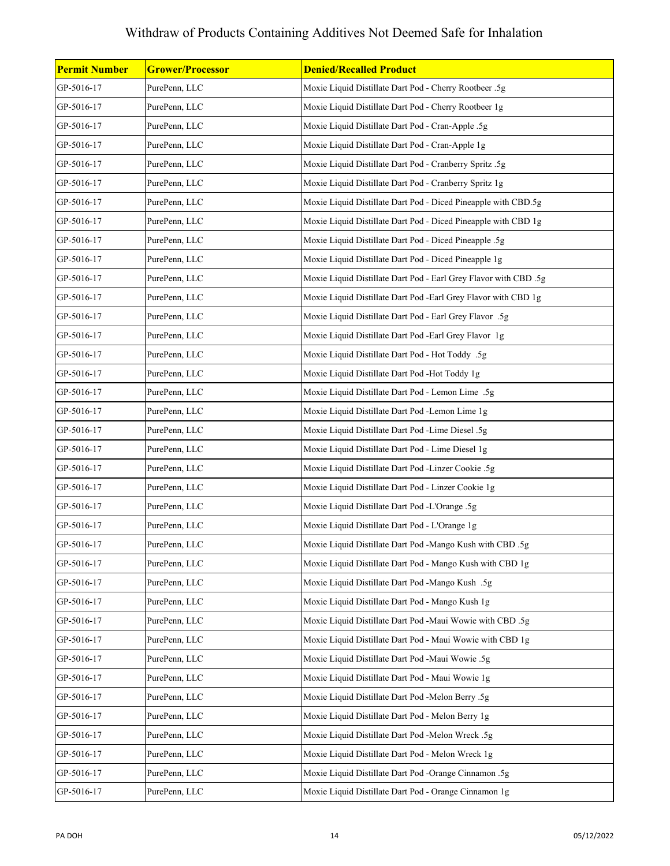| <b>Permit Number</b> | <b>Grower/Processor</b> | <b>Denied/Recalled Product</b>                                   |
|----------------------|-------------------------|------------------------------------------------------------------|
| GP-5016-17           | PurePenn, LLC           | Moxie Liquid Distillate Dart Pod - Cherry Rootbeer .5g           |
| GP-5016-17           | PurePenn, LLC           | Moxie Liquid Distillate Dart Pod - Cherry Rootbeer 1g            |
| GP-5016-17           | PurePenn, LLC           | Moxie Liquid Distillate Dart Pod - Cran-Apple .5g                |
| GP-5016-17           | PurePenn, LLC           | Moxie Liquid Distillate Dart Pod - Cran-Apple 1g                 |
| GP-5016-17           | PurePenn, LLC           | Moxie Liquid Distillate Dart Pod - Cranberry Spritz .5g          |
| GP-5016-17           | PurePenn, LLC           | Moxie Liquid Distillate Dart Pod - Cranberry Spritz 1g           |
| GP-5016-17           | PurePenn, LLC           | Moxie Liquid Distillate Dart Pod - Diced Pineapple with CBD.5g   |
| GP-5016-17           | PurePenn, LLC           | Moxie Liquid Distillate Dart Pod - Diced Pineapple with CBD 1g   |
| GP-5016-17           | PurePenn, LLC           | Moxie Liquid Distillate Dart Pod - Diced Pineapple .5g           |
| GP-5016-17           | PurePenn, LLC           | Moxie Liquid Distillate Dart Pod - Diced Pineapple 1g            |
| GP-5016-17           | PurePenn, LLC           | Moxie Liquid Distillate Dart Pod - Earl Grey Flavor with CBD .5g |
| GP-5016-17           | PurePenn, LLC           | Moxie Liquid Distillate Dart Pod -Earl Grey Flavor with CBD 1g   |
| GP-5016-17           | PurePenn, LLC           | Moxie Liquid Distillate Dart Pod - Earl Grey Flavor .5g          |
| GP-5016-17           | PurePenn, LLC           | Moxie Liquid Distillate Dart Pod -Earl Grey Flavor 1g            |
| GP-5016-17           | PurePenn, LLC           | Moxie Liquid Distillate Dart Pod - Hot Toddy .5g                 |
| GP-5016-17           | PurePenn, LLC           | Moxie Liquid Distillate Dart Pod -Hot Toddy 1g                   |
| GP-5016-17           | PurePenn, LLC           | Moxie Liquid Distillate Dart Pod - Lemon Lime .5g                |
| GP-5016-17           | PurePenn, LLC           | Moxie Liquid Distillate Dart Pod -Lemon Lime 1g                  |
| GP-5016-17           | PurePenn, LLC           | Moxie Liquid Distillate Dart Pod -Lime Diesel .5g                |
| GP-5016-17           | PurePenn, LLC           | Moxie Liquid Distillate Dart Pod - Lime Diesel 1g                |
| GP-5016-17           | PurePenn, LLC           | Moxie Liquid Distillate Dart Pod -Linzer Cookie .5g              |
| GP-5016-17           | PurePenn, LLC           | Moxie Liquid Distillate Dart Pod - Linzer Cookie 1g              |
| GP-5016-17           | PurePenn, LLC           | Moxie Liquid Distillate Dart Pod -L'Orange .5g                   |
| GP-5016-17           | PurePenn, LLC           | Moxie Liquid Distillate Dart Pod - L'Orange 1g                   |
| GP-5016-17           | PurePenn, LLC           | Moxie Liquid Distillate Dart Pod -Mango Kush with CBD .5g        |
| GP-5016-17           | PurePenn, LLC           | Moxie Liquid Distillate Dart Pod - Mango Kush with CBD 1g        |
| GP-5016-17           | PurePenn, LLC           | Moxie Liquid Distillate Dart Pod -Mango Kush .5g                 |
| GP-5016-17           | PurePenn, LLC           | Moxie Liquid Distillate Dart Pod - Mango Kush 1g                 |
| GP-5016-17           | PurePenn, LLC           | Moxie Liquid Distillate Dart Pod -Maui Wowie with CBD .5g        |
| GP-5016-17           | PurePenn, LLC           | Moxie Liquid Distillate Dart Pod - Maui Wowie with CBD 1g        |
| GP-5016-17           | PurePenn, LLC           | Moxie Liquid Distillate Dart Pod -Maui Wowie .5g                 |
| GP-5016-17           | PurePenn, LLC           | Moxie Liquid Distillate Dart Pod - Maui Wowie 1g                 |
| GP-5016-17           | PurePenn, LLC           | Moxie Liquid Distillate Dart Pod -Melon Berry .5g                |
| GP-5016-17           | PurePenn, LLC           | Moxie Liquid Distillate Dart Pod - Melon Berry 1g                |
| GP-5016-17           | PurePenn, LLC           | Moxie Liquid Distillate Dart Pod -Melon Wreck .5g                |
| GP-5016-17           | PurePenn, LLC           | Moxie Liquid Distillate Dart Pod - Melon Wreck 1g                |
| GP-5016-17           | PurePenn, LLC           | Moxie Liquid Distillate Dart Pod -Orange Cinnamon .5g            |
| GP-5016-17           | PurePenn, LLC           | Moxie Liquid Distillate Dart Pod - Orange Cinnamon 1g            |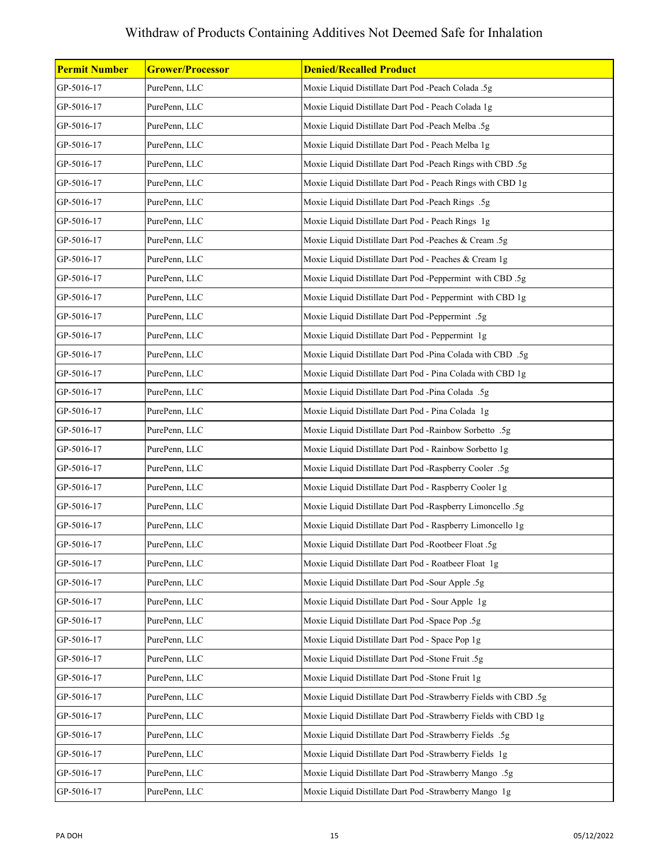| Permit Number | <b>Grower/Processor</b> | <b>Denied/Recalled Product</b>                                   |
|---------------|-------------------------|------------------------------------------------------------------|
| GP-5016-17    | PurePenn, LLC           | Moxie Liquid Distillate Dart Pod -Peach Colada .5g               |
| GP-5016-17    | PurePenn, LLC           | Moxie Liquid Distillate Dart Pod - Peach Colada 1g               |
| GP-5016-17    | PurePenn, LLC           | Moxie Liquid Distillate Dart Pod -Peach Melba .5g                |
| GP-5016-17    | PurePenn, LLC           | Moxie Liquid Distillate Dart Pod - Peach Melba 1g                |
| GP-5016-17    | PurePenn, LLC           | Moxie Liquid Distillate Dart Pod -Peach Rings with CBD .5g       |
| GP-5016-17    | PurePenn, LLC           | Moxie Liquid Distillate Dart Pod - Peach Rings with CBD 1g       |
| GP-5016-17    | PurePenn, LLC           | Moxie Liquid Distillate Dart Pod -Peach Rings .5g                |
| GP-5016-17    | PurePenn, LLC           | Moxie Liquid Distillate Dart Pod - Peach Rings 1g                |
| GP-5016-17    | PurePenn, LLC           | Moxie Liquid Distillate Dart Pod -Peaches & Cream .5g            |
| GP-5016-17    | PurePenn, LLC           | Moxie Liquid Distillate Dart Pod - Peaches & Cream 1g            |
| GP-5016-17    | PurePenn, LLC           | Moxie Liquid Distillate Dart Pod -Peppermint with CBD .5g        |
| GP-5016-17    | PurePenn, LLC           | Moxie Liquid Distillate Dart Pod - Peppermint with CBD 1g        |
| GP-5016-17    | PurePenn, LLC           | Moxie Liquid Distillate Dart Pod -Peppermint .5g                 |
| GP-5016-17    | PurePenn, LLC           | Moxie Liquid Distillate Dart Pod - Peppermint 1g                 |
| GP-5016-17    | PurePenn, LLC           | Moxie Liquid Distillate Dart Pod -Pina Colada with CBD .5g       |
| GP-5016-17    | PurePenn, LLC           | Moxie Liquid Distillate Dart Pod - Pina Colada with CBD 1g       |
| GP-5016-17    | PurePenn, LLC           | Moxie Liquid Distillate Dart Pod -Pina Colada .5g                |
| GP-5016-17    | PurePenn, LLC           | Moxie Liquid Distillate Dart Pod - Pina Colada 1g                |
| GP-5016-17    | PurePenn, LLC           | Moxie Liquid Distillate Dart Pod -Rainbow Sorbetto .5g           |
| GP-5016-17    | PurePenn, LLC           | Moxie Liquid Distillate Dart Pod - Rainbow Sorbetto 1g           |
| GP-5016-17    | PurePenn, LLC           | Moxie Liquid Distillate Dart Pod -Raspberry Cooler .5g           |
| GP-5016-17    | PurePenn, LLC           | Moxie Liquid Distillate Dart Pod - Raspberry Cooler 1g           |
| GP-5016-17    | PurePenn, LLC           | Moxie Liquid Distillate Dart Pod -Raspberry Limoncello .5g       |
| GP-5016-17    | PurePenn, LLC           | Moxie Liquid Distillate Dart Pod - Raspberry Limoncello 1g       |
| GP-5016-17    | PurePenn, LLC           | Moxie Liquid Distillate Dart Pod -Rootbeer Float .5g             |
| GP-5016-17    | PurePenn, LLC           | Moxie Liquid Distillate Dart Pod - Roatbeer Float 1g             |
| GP-5016-17    | PurePenn, LLC           | Moxie Liquid Distillate Dart Pod -Sour Apple .5g                 |
| GP-5016-17    | PurePenn, LLC           | Moxie Liquid Distillate Dart Pod - Sour Apple 1g                 |
| GP-5016-17    | PurePenn, LLC           | Moxie Liquid Distillate Dart Pod -Space Pop .5g                  |
| GP-5016-17    | PurePenn, LLC           | Moxie Liquid Distillate Dart Pod - Space Pop 1g                  |
| GP-5016-17    | PurePenn, LLC           | Moxie Liquid Distillate Dart Pod -Stone Fruit .5g                |
| GP-5016-17    | PurePenn, LLC           | Moxie Liquid Distillate Dart Pod -Stone Fruit 1g                 |
| GP-5016-17    | PurePenn, LLC           | Moxie Liquid Distillate Dart Pod -Strawberry Fields with CBD .5g |
| GP-5016-17    | PurePenn, LLC           | Moxie Liquid Distillate Dart Pod -Strawberry Fields with CBD 1g  |
| GP-5016-17    | PurePenn, LLC           | Moxie Liquid Distillate Dart Pod -Strawberry Fields .5g          |
| GP-5016-17    | PurePenn, LLC           | Moxie Liquid Distillate Dart Pod -Strawberry Fields 1g           |
| GP-5016-17    | PurePenn, LLC           | Moxie Liquid Distillate Dart Pod -Strawberry Mango .5g           |
| GP-5016-17    | PurePenn, LLC           | Moxie Liquid Distillate Dart Pod -Strawberry Mango 1g            |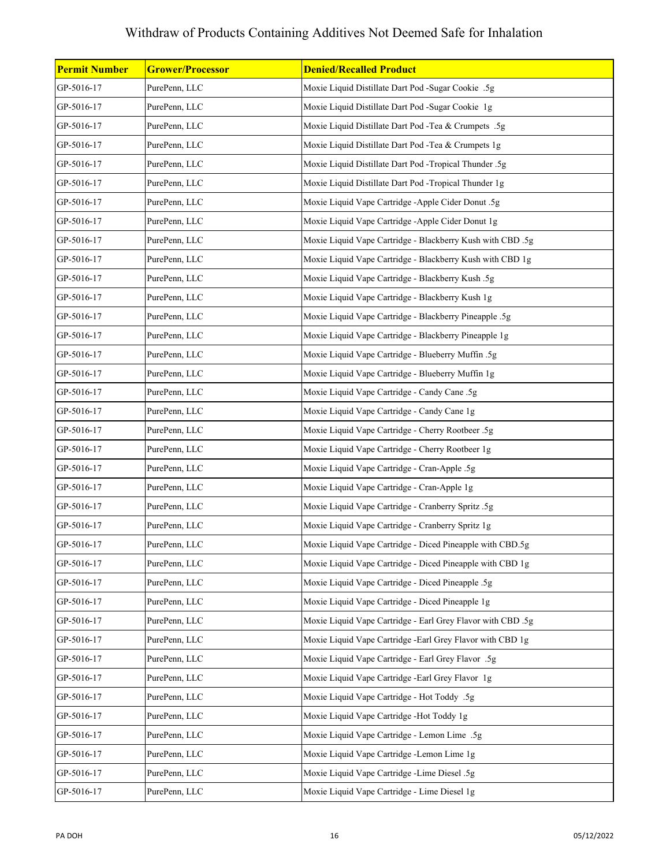| <b>Permit Number</b> | <b>Grower/Processor</b> | <b>Denied/Recalled Product</b>                              |
|----------------------|-------------------------|-------------------------------------------------------------|
| GP-5016-17           | PurePenn, LLC           | Moxie Liquid Distillate Dart Pod -Sugar Cookie .5g          |
| GP-5016-17           | PurePenn, LLC           | Moxie Liquid Distillate Dart Pod -Sugar Cookie 1g           |
| GP-5016-17           | PurePenn, LLC           | Moxie Liquid Distillate Dart Pod -Tea & Crumpets .5g        |
| GP-5016-17           | PurePenn, LLC           | Moxie Liquid Distillate Dart Pod -Tea & Crumpets 1g         |
| GP-5016-17           | PurePenn, LLC           | Moxie Liquid Distillate Dart Pod -Tropical Thunder .5g      |
| GP-5016-17           | PurePenn, LLC           | Moxie Liquid Distillate Dart Pod -Tropical Thunder 1g       |
| GP-5016-17           | PurePenn, LLC           | Moxie Liquid Vape Cartridge -Apple Cider Donut .5g          |
| GP-5016-17           | PurePenn, LLC           | Moxie Liquid Vape Cartridge -Apple Cider Donut 1g           |
| GP-5016-17           | PurePenn, LLC           | Moxie Liquid Vape Cartridge - Blackberry Kush with CBD .5g  |
| GP-5016-17           | PurePenn, LLC           | Moxie Liquid Vape Cartridge - Blackberry Kush with CBD 1g   |
| GP-5016-17           | PurePenn, LLC           | Moxie Liquid Vape Cartridge - Blackberry Kush .5g           |
| GP-5016-17           | PurePenn, LLC           | Moxie Liquid Vape Cartridge - Blackberry Kush 1g            |
| GP-5016-17           | PurePenn, LLC           | Moxie Liquid Vape Cartridge - Blackberry Pineapple .5g      |
| GP-5016-17           | PurePenn, LLC           | Moxie Liquid Vape Cartridge - Blackberry Pineapple 1g       |
| GP-5016-17           | PurePenn, LLC           | Moxie Liquid Vape Cartridge - Blueberry Muffin .5g          |
| GP-5016-17           | PurePenn, LLC           | Moxie Liquid Vape Cartridge - Blueberry Muffin 1g           |
| GP-5016-17           | PurePenn, LLC           | Moxie Liquid Vape Cartridge - Candy Cane .5g                |
| GP-5016-17           | PurePenn, LLC           | Moxie Liquid Vape Cartridge - Candy Cane 1g                 |
| GP-5016-17           | PurePenn, LLC           | Moxie Liquid Vape Cartridge - Cherry Rootbeer .5g           |
| GP-5016-17           | PurePenn, LLC           | Moxie Liquid Vape Cartridge - Cherry Rootbeer 1g            |
| GP-5016-17           | PurePenn, LLC           | Moxie Liquid Vape Cartridge - Cran-Apple .5g                |
| GP-5016-17           | PurePenn, LLC           | Moxie Liquid Vape Cartridge - Cran-Apple 1g                 |
| GP-5016-17           | PurePenn, LLC           | Moxie Liquid Vape Cartridge - Cranberry Spritz .5g          |
| GP-5016-17           | PurePenn, LLC           | Moxie Liquid Vape Cartridge - Cranberry Spritz 1g           |
| GP-5016-17           | PurePenn, LLC           | Moxie Liquid Vape Cartridge - Diced Pineapple with CBD.5g   |
| GP-5016-17           | PurePenn, LLC           | Moxie Liquid Vape Cartridge - Diced Pineapple with CBD 1g   |
| GP-5016-17           | PurePenn, LLC           | Moxie Liquid Vape Cartridge - Diced Pineapple .5g           |
| GP-5016-17           | PurePenn, LLC           | Moxie Liquid Vape Cartridge - Diced Pineapple 1g            |
| GP-5016-17           | PurePenn, LLC           | Moxie Liquid Vape Cartridge - Earl Grey Flavor with CBD .5g |
| GP-5016-17           | PurePenn, LLC           | Moxie Liquid Vape Cartridge - Earl Grey Flavor with CBD 1g  |
| GP-5016-17           | PurePenn, LLC           | Moxie Liquid Vape Cartridge - Earl Grey Flavor .5g          |
| GP-5016-17           | PurePenn, LLC           | Moxie Liquid Vape Cartridge -Earl Grey Flavor 1g            |
| GP-5016-17           | PurePenn, LLC           | Moxie Liquid Vape Cartridge - Hot Toddy .5g                 |
| GP-5016-17           | PurePenn, LLC           | Moxie Liquid Vape Cartridge -Hot Toddy 1g                   |
| GP-5016-17           | PurePenn, LLC           | Moxie Liquid Vape Cartridge - Lemon Lime .5g                |
| GP-5016-17           | PurePenn, LLC           | Moxie Liquid Vape Cartridge -Lemon Lime 1g                  |
| GP-5016-17           | PurePenn, LLC           | Moxie Liquid Vape Cartridge -Lime Diesel .5g                |
| GP-5016-17           | PurePenn, LLC           | Moxie Liquid Vape Cartridge - Lime Diesel 1g                |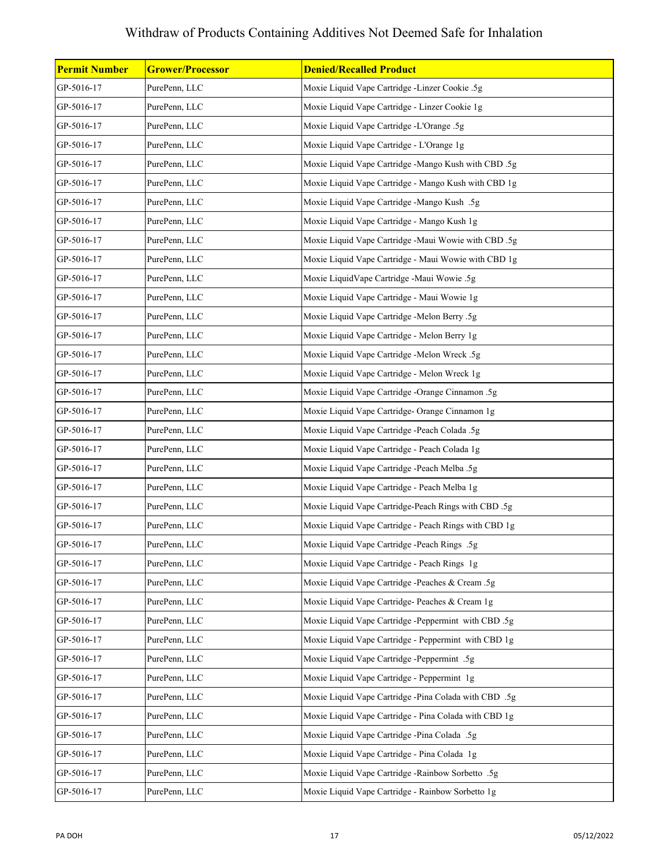| <b>Permit Number</b> | <b>Grower/Processor</b> | <b>Denied/Recalled Product</b>                        |
|----------------------|-------------------------|-------------------------------------------------------|
| GP-5016-17           | PurePenn, LLC           | Moxie Liquid Vape Cartridge -Linzer Cookie .5g        |
| GP-5016-17           | PurePenn, LLC           | Moxie Liquid Vape Cartridge - Linzer Cookie 1g        |
| GP-5016-17           | PurePenn, LLC           | Moxie Liquid Vape Cartridge -L'Orange .5g             |
| GP-5016-17           | PurePenn, LLC           | Moxie Liquid Vape Cartridge - L'Orange 1g             |
| GP-5016-17           | PurePenn, LLC           | Moxie Liquid Vape Cartridge -Mango Kush with CBD .5g  |
| GP-5016-17           | PurePenn, LLC           | Moxie Liquid Vape Cartridge - Mango Kush with CBD 1g  |
| GP-5016-17           | PurePenn, LLC           | Moxie Liquid Vape Cartridge -Mango Kush .5g           |
| GP-5016-17           | PurePenn, LLC           | Moxie Liquid Vape Cartridge - Mango Kush 1g           |
| GP-5016-17           | PurePenn, LLC           | Moxie Liquid Vape Cartridge -Maui Wowie with CBD .5g  |
| GP-5016-17           | PurePenn, LLC           | Moxie Liquid Vape Cartridge - Maui Wowie with CBD 1g  |
| GP-5016-17           | PurePenn, LLC           | Moxie LiquidVape Cartridge -Maui Wowie .5g            |
| GP-5016-17           | PurePenn, LLC           | Moxie Liquid Vape Cartridge - Maui Wowie 1g           |
| GP-5016-17           | PurePenn, LLC           | Moxie Liquid Vape Cartridge -Melon Berry .5g          |
| GP-5016-17           | PurePenn, LLC           | Moxie Liquid Vape Cartridge - Melon Berry 1g          |
| GP-5016-17           | PurePenn, LLC           | Moxie Liquid Vape Cartridge -Melon Wreck .5g          |
| GP-5016-17           | PurePenn, LLC           | Moxie Liquid Vape Cartridge - Melon Wreck 1g          |
| GP-5016-17           | PurePenn, LLC           | Moxie Liquid Vape Cartridge -Orange Cinnamon .5g      |
| GP-5016-17           | PurePenn, LLC           | Moxie Liquid Vape Cartridge- Orange Cinnamon 1g       |
| GP-5016-17           | PurePenn, LLC           | Moxie Liquid Vape Cartridge -Peach Colada .5g         |
| GP-5016-17           | PurePenn, LLC           | Moxie Liquid Vape Cartridge - Peach Colada 1g         |
| GP-5016-17           | PurePenn, LLC           | Moxie Liquid Vape Cartridge -Peach Melba .5g          |
| GP-5016-17           | PurePenn, LLC           | Moxie Liquid Vape Cartridge - Peach Melba 1g          |
| GP-5016-17           | PurePenn, LLC           | Moxie Liquid Vape Cartridge-Peach Rings with CBD .5g  |
| GP-5016-17           | PurePenn, LLC           | Moxie Liquid Vape Cartridge - Peach Rings with CBD 1g |
| GP-5016-17           | PurePenn, LLC           | Moxie Liquid Vape Cartridge -Peach Rings .5g          |
| GP-5016-17           | PurePenn, LLC           | Moxie Liquid Vape Cartridge - Peach Rings 1g          |
| GP-5016-17           | PurePenn, LLC           | Moxie Liquid Vape Cartridge -Peaches & Cream .5g      |
| GP-5016-17           | PurePenn, LLC           | Moxie Liquid Vape Cartridge- Peaches & Cream 1g       |
| GP-5016-17           | PurePenn, LLC           | Moxie Liquid Vape Cartridge -Peppermint with CBD .5g  |
| GP-5016-17           | PurePenn, LLC           | Moxie Liquid Vape Cartridge - Peppermint with CBD 1g  |
| GP-5016-17           | PurePenn, LLC           | Moxie Liquid Vape Cartridge -Peppermint .5g           |
| GP-5016-17           | PurePenn, LLC           | Moxie Liquid Vape Cartridge - Peppermint 1g           |
| GP-5016-17           | PurePenn, LLC           | Moxie Liquid Vape Cartridge -Pina Colada with CBD .5g |
| GP-5016-17           | PurePenn, LLC           | Moxie Liquid Vape Cartridge - Pina Colada with CBD 1g |
| GP-5016-17           | PurePenn, LLC           | Moxie Liquid Vape Cartridge -Pina Colada .5g          |
| GP-5016-17           | PurePenn, LLC           | Moxie Liquid Vape Cartridge - Pina Colada 1g          |
| GP-5016-17           | PurePenn, LLC           | Moxie Liquid Vape Cartridge -Rainbow Sorbetto .5g     |
| GP-5016-17           | PurePenn, LLC           | Moxie Liquid Vape Cartridge - Rainbow Sorbetto 1g     |